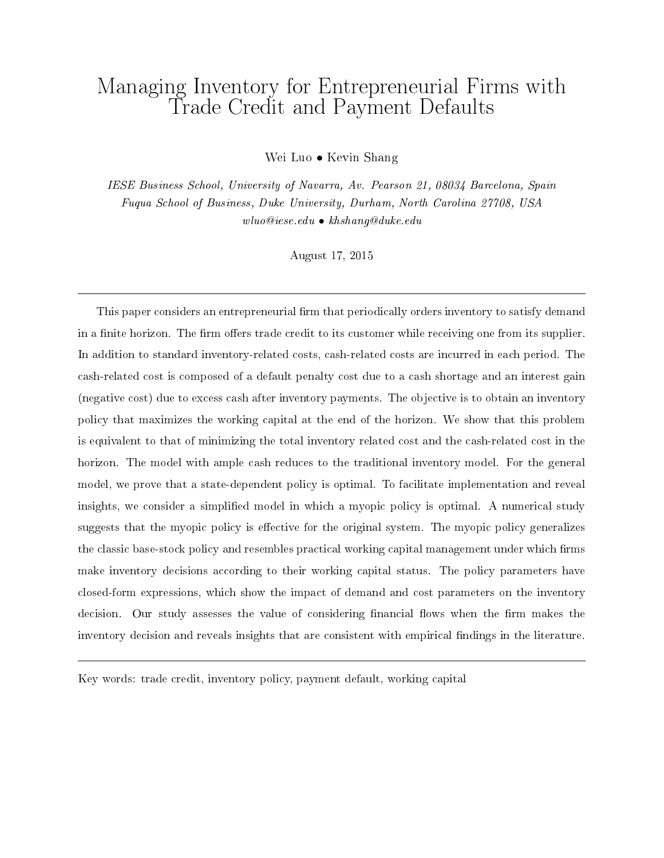# Managing Inventory for Entrepreneurial Firms with Trade Credit and Payment Defaults

Wei Luo *•* Kevin Shang

IESE Business School, University of Navarra, Av. Pearson 21, 08034 Barcelona, Spain Fuqua School of Business, Duke University, Durham, North Carolina 27708, USA wluo@iese.edu *•* khshang@duke.edu

August 17, 2015

This paper considers an entrepreneurial firm that periodically orders inventory to satisfy demand in a finite horizon. The firm offers trade credit to its customer while receiving one from its supplier. In addition to standard inventory-related costs, cash-related costs are incurred in each period. The cash-related cost is composed of a default penalty cost due to a cash shortage and an interest gain (negative cost) due to excess cash after inventory payments. The objective is to obtain an inventory policy that maximizes the working capital at the end of the horizon. We show that this problem is equivalent to that of minimizing the total inventory related cost and the cash-related cost in the horizon. The model with ample cash reduces to the traditional inventory model. For the general model, we prove that a state-dependent policy is optimal. To facilitate implementation and reveal insights, we consider a simplied model in which a myopic policy is optimal. A numerical study suggests that the myopic policy is effective for the original system. The myopic policy generalizes the classic base-stock policy and resembles practical working capital management under which firms make inventory decisions according to their working capital status. The policy parameters have closed-form expressions, which show the impact of demand and cost parameters on the inventory decision. Our study assesses the value of considering financial flows when the firm makes the inventory decision and reveals insights that are consistent with empirical findings in the literature.

Key words: trade credit, inventory policy, payment default, working capital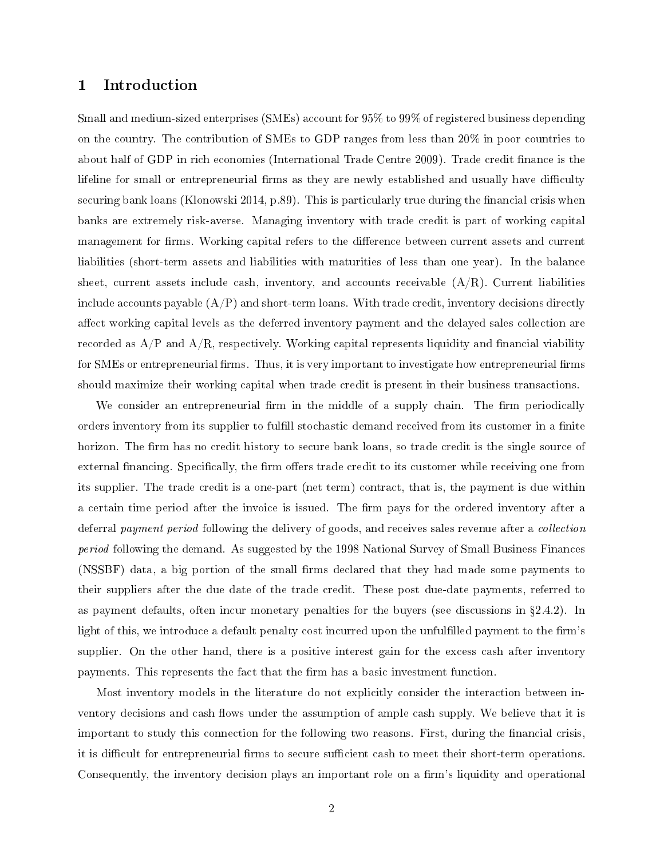### 1 Introduction

Small and medium-sized enterprises (SMEs) account for 95% to 99% of registered business depending on the country. The contribution of SMEs to GDP ranges from less than 20% in poor countries to about half of GDP in rich economies (International Trade Centre 2009). Trade credit finance is the lifeline for small or entrepreneurial firms as they are newly established and usually have difficulty securing bank loans (Klonowski 2014, p.89). This is particularly true during the financial crisis when banks are extremely risk-averse. Managing inventory with trade credit is part of working capital management for firms. Working capital refers to the difference between current assets and current liabilities (short-term assets and liabilities with maturities of less than one year). In the balance sheet, current assets include cash, inventory, and accounts receivable  $(A/R)$ . Current liabilities include accounts payable  $(A/P)$  and short-term loans. With trade credit, inventory decisions directly affect working capital levels as the deferred inventory payment and the delayed sales collection are recorded as  $A/P$  and  $A/R$ , respectively. Working capital represents liquidity and financial viability for SMEs or entrepreneurial firms. Thus, it is very important to investigate how entrepreneurial firms should maximize their working capital when trade credit is present in their business transactions.

We consider an entrepreneurial firm in the middle of a supply chain. The firm periodically orders inventory from its supplier to fulfill stochastic demand received from its customer in a finite horizon. The firm has no credit history to secure bank loans, so trade credit is the single source of external financing. Specifically, the firm offers trade credit to its customer while receiving one from its supplier. The trade credit is a one-part (net term) contract, that is, the payment is due within a certain time period after the invoice is issued. The firm pays for the ordered inventory after a deferral *payment period* following the delivery of goods, and receives sales revenue after a *collection* period following the demand. As suggested by the 1998 National Survey of Small Business Finances (NSSBF) data, a big portion of the small firms declared that they had made some payments to their suppliers after the due date of the trade credit. These post due-date payments, referred to as payment defaults, often incur monetary penalties for the buyers (see discussions in  $\S 2.4.2$ ). In light of this, we introduce a default penalty cost incurred upon the unfulfilled payment to the firm's supplier. On the other hand, there is a positive interest gain for the excess cash after inventory payments. This represents the fact that the firm has a basic investment function.

Most inventory models in the literature do not explicitly consider the interaction between inventory decisions and cash flows under the assumption of ample cash supply. We believe that it is important to study this connection for the following two reasons. First, during the financial crisis, it is difficult for entrepreneurial firms to secure sufficient cash to meet their short-term operations. Consequently, the inventory decision plays an important role on a firm's liquidity and operational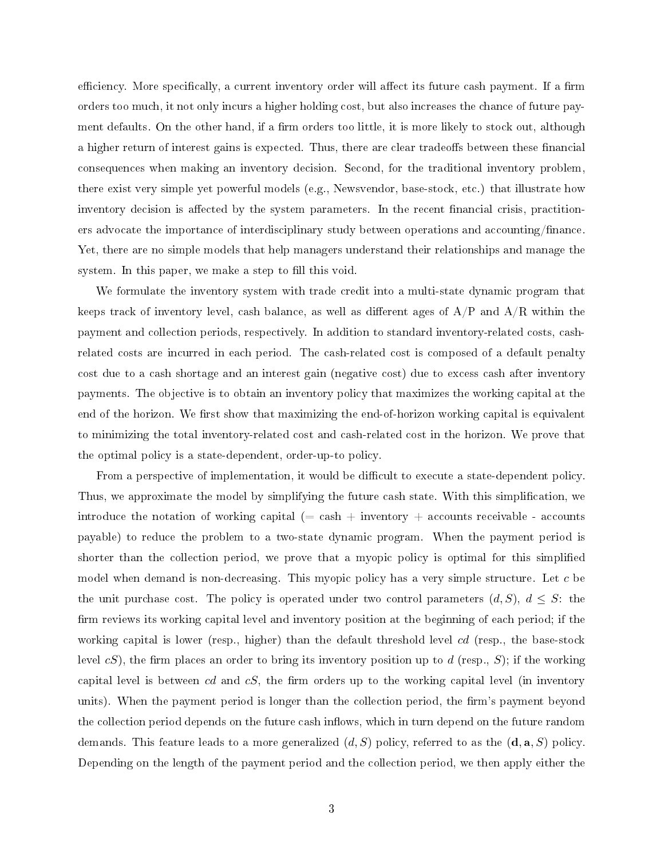efficiency. More specifically, a current inventory order will affect its future cash payment. If a firm orders too much, it not only incurs a higher holding cost, but also increases the chance of future payment defaults. On the other hand, if a firm orders too little, it is more likely to stock out, although a higher return of interest gains is expected. Thus, there are clear tradeoffs between these financial consequences when making an inventory decision. Second, for the traditional inventory problem, there exist very simple yet powerful models (e.g., Newsvendor, base-stock, etc.) that illustrate how inventory decision is affected by the system parameters. In the recent financial crisis, practitioners advocate the importance of interdisciplinary study between operations and accounting/nance. Yet, there are no simple models that help managers understand their relationships and manage the system. In this paper, we make a step to fill this void.

We formulate the inventory system with trade credit into a multi-state dynamic program that keeps track of inventory level, cash balance, as well as different ages of  $A/P$  and  $A/R$  within the payment and collection periods, respectively. In addition to standard inventory-related costs, cashrelated costs are incurred in each period. The cash-related cost is composed of a default penalty cost due to a cash shortage and an interest gain (negative cost) due to excess cash after inventory payments. The objective is to obtain an inventory policy that maximizes the working capital at the end of the horizon. We first show that maximizing the end-of-horizon working capital is equivalent to minimizing the total inventory-related cost and cash-related cost in the horizon. We prove that the optimal policy is a state-dependent, order-up-to policy.

From a perspective of implementation, it would be difficult to execute a state-dependent policy. Thus, we approximate the model by simplifying the future cash state. With this simplication, we introduce the notation of working capital  $(=\cosh + i\mathrm{nventory} + \mathrm{accounts} \,\,\mathrm{recevable} - \mathrm{accounts}$ payable) to reduce the problem to a two-state dynamic program. When the payment period is shorter than the collection period, we prove that a myopic policy is optimal for this simplied model when demand is non-decreasing. This myopic policy has a very simple structure. Let *c* be the unit purchase cost. The policy is operated under two control parameters  $(d, S)$ ,  $d \leq S$ : the firm reviews its working capital level and inventory position at the beginning of each period; if the working capital is lower (resp., higher) than the default threshold level *cd* (resp., the base-stock level  $cS$ ), the firm places an order to bring its inventory position up to *d* (resp., *S*); if the working capital level is between *cd* and  $cS$ , the firm orders up to the working capital level (in inventory units). When the payment period is longer than the collection period, the firm's payment beyond the collection period depends on the future cash inflows, which in turn depend on the future random demands. This feature leads to a more generalized (*d, S*) policy, referred to as the (d*,* a*, S*) policy. Depending on the length of the payment period and the collection period, we then apply either the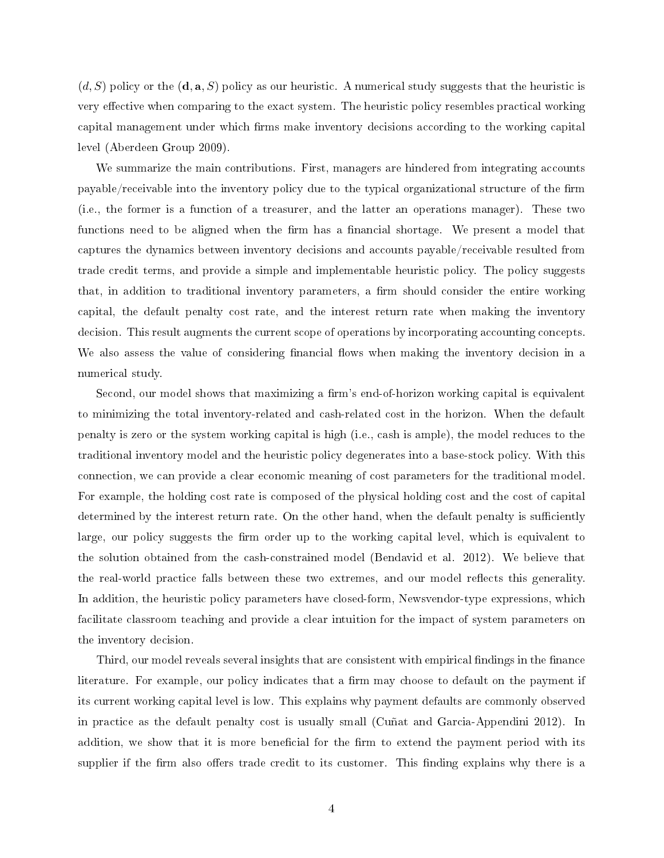(*d, S*) policy or the (d*,* a*, S*) policy as our heuristic. A numerical study suggests that the heuristic is very effective when comparing to the exact system. The heuristic policy resembles practical working capital management under which firms make inventory decisions according to the working capital level (Aberdeen Group 2009).

We summarize the main contributions. First, managers are hindered from integrating accounts payable/receivable into the inventory policy due to the typical organizational structure of the firm (i.e., the former is a function of a treasurer, and the latter an operations manager). These two functions need to be aligned when the firm has a financial shortage. We present a model that captures the dynamics between inventory decisions and accounts payable/receivable resulted from trade credit terms, and provide a simple and implementable heuristic policy. The policy suggests that, in addition to traditional inventory parameters, a firm should consider the entire working capital, the default penalty cost rate, and the interest return rate when making the inventory decision. This result augments the current scope of operations by incorporating accounting concepts. We also assess the value of considering financial flows when making the inventory decision in a numerical study.

Second, our model shows that maximizing a firm's end-of-horizon working capital is equivalent to minimizing the total inventory-related and cash-related cost in the horizon. When the default penalty is zero or the system working capital is high (i.e., cash is ample), the model reduces to the traditional inventory model and the heuristic policy degenerates into a base-stock policy. With this connection, we can provide a clear economic meaning of cost parameters for the traditional model. For example, the holding cost rate is composed of the physical holding cost and the cost of capital determined by the interest return rate. On the other hand, when the default penalty is sufficiently large, our policy suggests the firm order up to the working capital level, which is equivalent to the solution obtained from the cash-constrained model (Bendavid et al. 2012). We believe that the real-world practice falls between these two extremes, and our model reflects this generality. In addition, the heuristic policy parameters have closed-form, Newsvendor-type expressions, which facilitate classroom teaching and provide a clear intuition for the impact of system parameters on the inventory decision.

Third, our model reveals several insights that are consistent with empirical findings in the finance literature. For example, our policy indicates that a firm may choose to default on the payment if its current working capital level is low. This explains why payment defaults are commonly observed in practice as the default penalty cost is usually small (Cuñat and Garcia-Appendini 2012). In addition, we show that it is more beneficial for the firm to extend the payment period with its supplier if the firm also offers trade credit to its customer. This finding explains why there is a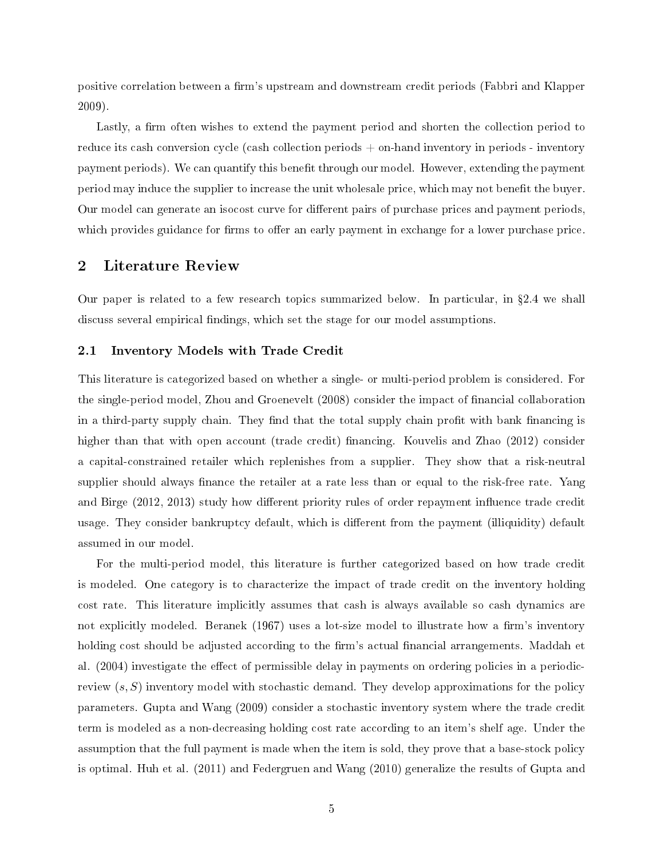positive correlation between a firm's upstream and downstream credit periods (Fabbri and Klapper 2009).

Lastly, a firm often wishes to extend the payment period and shorten the collection period to reduce its cash conversion cycle (cash collection periods + on-hand inventory in periods - inventory payment periods). We can quantify this benefit through our model. However, extending the payment period may induce the supplier to increase the unit wholesale price, which may not benefit the buyer. Our model can generate an isocost curve for different pairs of purchase prices and payment periods. which provides guidance for firms to offer an early payment in exchange for a lower purchase price.

### 2 Literature Review

Our paper is related to a few research topics summarized below. In particular, in  $\S 2.4$  we shall discuss several empirical findings, which set the stage for our model assumptions.

### 2.1 Inventory Models with Trade Credit

This literature is categorized based on whether a single- or multi-period problem is considered. For the single-period model, Zhou and Groenevelt (2008) consider the impact of financial collaboration in a third-party supply chain. They find that the total supply chain profit with bank financing is higher than that with open account (trade credit) financing. Kouvelis and Zhao (2012) consider a capital-constrained retailer which replenishes from a supplier. They show that a risk-neutral supplier should always finance the retailer at a rate less than or equal to the risk-free rate. Yang and Birge (2012, 2013) study how different priority rules of order repayment influence trade credit usage. They consider bankruptcy default, which is different from the payment (illiquidity) default assumed in our model.

For the multi-period model, this literature is further categorized based on how trade credit is modeled. One category is to characterize the impact of trade credit on the inventory holding cost rate. This literature implicitly assumes that cash is always available so cash dynamics are not explicitly modeled. Beranek (1967) uses a lot-size model to illustrate how a firm's inventory holding cost should be adjusted according to the firm's actual financial arrangements. Maddah et al. (2004) investigate the effect of permissible delay in payments on ordering policies in a periodicreview (*s, S*) inventory model with stochastic demand. They develop approximations for the policy parameters. Gupta and Wang (2009) consider a stochastic inventory system where the trade credit term is modeled as a non-decreasing holding cost rate according to an item's shelf age. Under the assumption that the full payment is made when the item is sold, they prove that a base-stock policy is optimal. Huh et al. (2011) and Federgruen and Wang (2010) generalize the results of Gupta and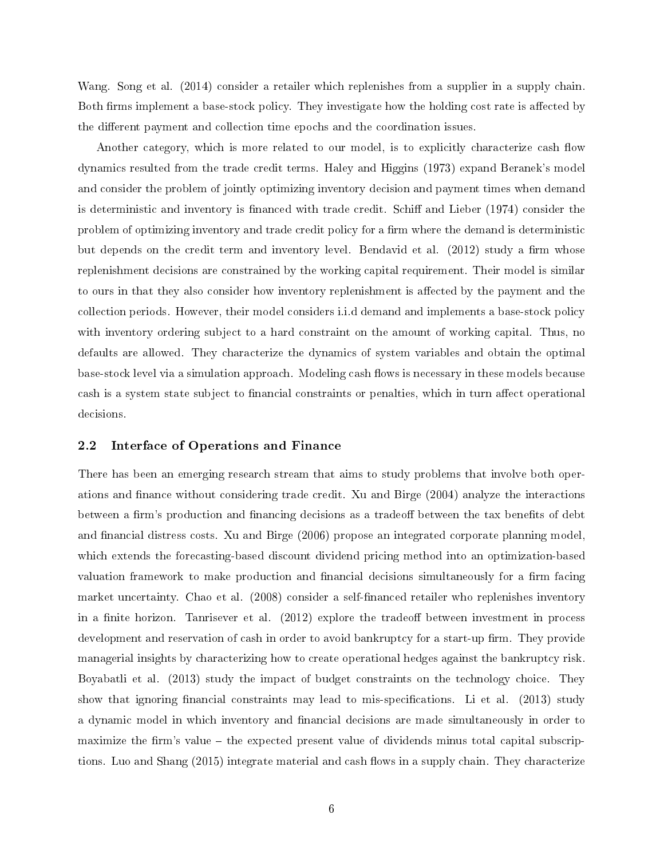Wang. Song et al. (2014) consider a retailer which replenishes from a supplier in a supply chain. Both firms implement a base-stock policy. They investigate how the holding cost rate is affected by the different payment and collection time epochs and the coordination issues.

Another category, which is more related to our model, is to explicitly characterize cash flow dynamics resulted from the trade credit terms. Haley and Higgins (1973) expand Beranek's model and consider the problem of jointly optimizing inventory decision and payment times when demand is deterministic and inventory is financed with trade credit. Schiff and Lieber (1974) consider the problem of optimizing inventory and trade credit policy for a firm where the demand is deterministic but depends on the credit term and inventory level. Bendavid et al. (2012) study a firm whose replenishment decisions are constrained by the working capital requirement. Their model is similar to ours in that they also consider how inventory replenishment is affected by the payment and the collection periods. However, their model considers i.i.d demand and implements a base-stock policy with inventory ordering subject to a hard constraint on the amount of working capital. Thus, no defaults are allowed. They characterize the dynamics of system variables and obtain the optimal base-stock level via a simulation approach. Modeling cash flows is necessary in these models because cash is a system state subject to financial constraints or penalties, which in turn affect operational decisions.

### 2.2 Interface of Operations and Finance

There has been an emerging research stream that aims to study problems that involve both operations and finance without considering trade credit. Xu and Birge (2004) analyze the interactions between a firm's production and financing decisions as a tradeoff between the tax benefits of debt and financial distress costs. Xu and Birge (2006) propose an integrated corporate planning model. which extends the forecasting-based discount dividend pricing method into an optimization-based valuation framework to make production and financial decisions simultaneously for a firm facing market uncertainty. Chao et al. (2008) consider a self-nanced retailer who replenishes inventory in a finite horizon. Tanrisever et al.  $(2012)$  explore the tradeoff between investment in process development and reservation of cash in order to avoid bankruptcy for a start-up firm. They provide managerial insights by characterizing how to create operational hedges against the bankruptcy risk. Boyabatli et al. (2013) study the impact of budget constraints on the technology choice. They show that ignoring financial constraints may lead to mis-specifications. Li et al.  $(2013)$  study a dynamic model in which inventory and financial decisions are made simultaneously in order to maximize the firm's value  $-$  the expected present value of dividends minus total capital subscriptions. Luo and Shang (2015) integrate material and cash flows in a supply chain. They characterize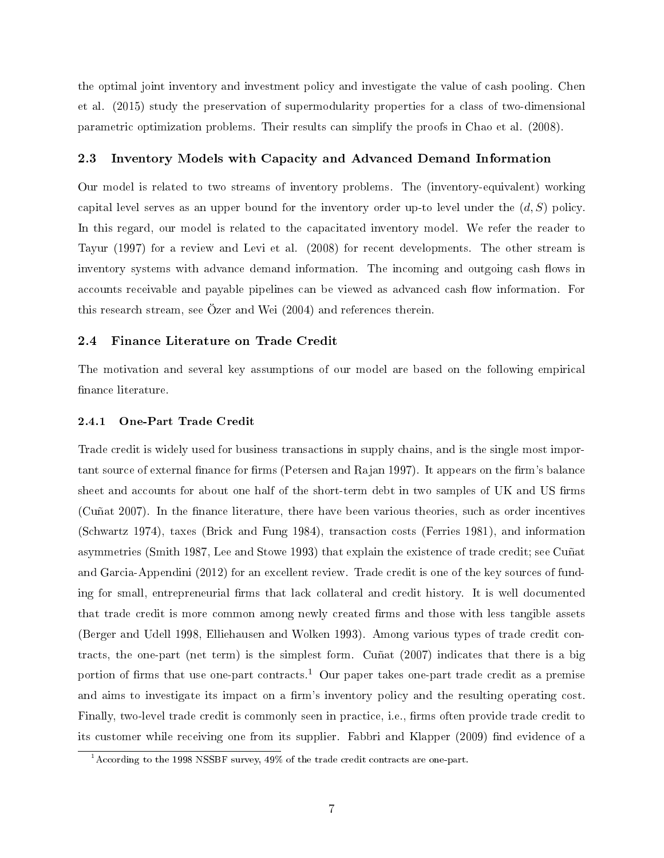the optimal joint inventory and investment policy and investigate the value of cash pooling. Chen et al. (2015) study the preservation of supermodularity properties for a class of two-dimensional parametric optimization problems. Their results can simplify the proofs in Chao et al. (2008).

### 2.3 Inventory Models with Capacity and Advanced Demand Information

Our model is related to two streams of inventory problems. The (inventory-equivalent) working capital level serves as an upper bound for the inventory order up-to level under the (*d, S*) policy. In this regard, our model is related to the capacitated inventory model. We refer the reader to Tayur (1997) for a review and Levi et al. (2008) for recent developments. The other stream is inventory systems with advance demand information. The incoming and outgoing cash flows in accounts receivable and payable pipelines can be viewed as advanced cash flow information. For this research stream, see Özer and Wei (2004) and references therein.

### 2.4 Finance Literature on Trade Credit

The motivation and several key assumptions of our model are based on the following empirical finance literature.

#### 2.4.1 One-Part Trade Credit

Trade credit is widely used for business transactions in supply chains, and is the single most important source of external finance for firms (Petersen and Rajan 1997). It appears on the firm's balance sheet and accounts for about one half of the short-term debt in two samples of UK and US firms (Cuñat 2007). In the finance literature, there have been various theories, such as order incentives (Schwartz 1974), taxes (Brick and Fung 1984), transaction costs (Ferries 1981), and information asymmetries (Smith 1987, Lee and Stowe 1993) that explain the existence of trade credit; see Cuñat and Garcia-Appendini (2012) for an excellent review. Trade credit is one of the key sources of funding for small, entrepreneurial firms that lack collateral and credit history. It is well documented that trade credit is more common among newly created firms and those with less tangible assets (Berger and Udell 1998, Elliehausen and Wolken 1993). Among various types of trade credit contracts, the one-part (net term) is the simplest form. Cuñat (2007) indicates that there is a big portion of firms that use one-part contracts.<sup>1</sup> Our paper takes one-part trade credit as a premise and aims to investigate its impact on a firm's inventory policy and the resulting operating cost. Finally, two-level trade credit is commonly seen in practice, i.e., firms often provide trade credit to its customer while receiving one from its supplier. Fabbri and Klapper (2009) find evidence of a

 $^1$ According to the 1998 NSSBF survey, 49% of the trade credit contracts are one-part.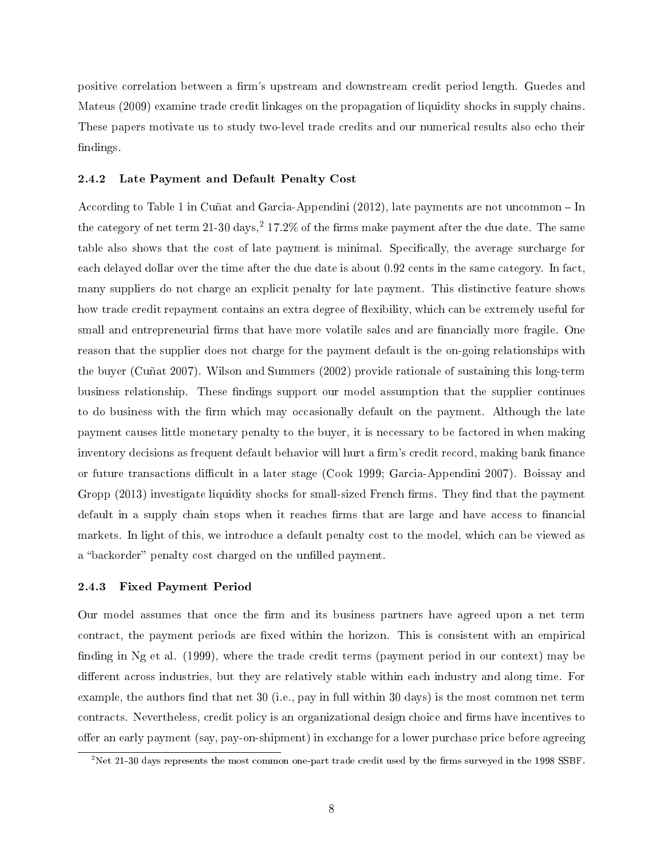positive correlation between a firm's upstream and downstream credit period length. Guedes and Mateus (2009) examine trade credit linkages on the propagation of liquidity shocks in supply chains. These papers motivate us to study two-level trade credits and our numerical results also echo their findings.

#### 2.4.2 Late Payment and Default Penalty Cost

According to Table 1 in Cuñat and Garcia-Appendini (2012), late payments are not uncommon In the category of net term  $21-30 \text{ days}$ ,  $27.2\%$  of the firms make payment after the due date. The same table also shows that the cost of late payment is minimal. Specifically, the average surcharge for each delayed dollar over the time after the due date is about 0.92 cents in the same category. In fact, many suppliers do not charge an explicit penalty for late payment. This distinctive feature shows how trade credit repayment contains an extra degree of flexibility, which can be extremely useful for small and entrepreneurial firms that have more volatile sales and are financially more fragile. One reason that the supplier does not charge for the payment default is the on-going relationships with the buyer (Cuñat 2007). Wilson and Summers (2002) provide rationale of sustaining this long-term business relationship. These findings support our model assumption that the supplier continues to do business with the firm which may occasionally default on the payment. Although the late payment causes little monetary penalty to the buyer, it is necessary to be factored in when making inventory decisions as frequent default behavior will hurt a firm's credit record, making bank finance or future transactions difficult in a later stage (Cook 1999; Garcia-Appendini 2007). Boissay and Gropp (2013) investigate liquidity shocks for small-sized French firms. They find that the payment default in a supply chain stops when it reaches firms that are large and have access to financial markets. In light of this, we introduce a default penalty cost to the model, which can be viewed as a "backorder" penalty cost charged on the unfilled payment.

### 2.4.3 Fixed Payment Period

Our model assumes that once the firm and its business partners have agreed upon a net term contract, the payment periods are fixed within the horizon. This is consistent with an empirical finding in Ng et al. (1999), where the trade credit terms (payment period in our context) may be different across industries, but they are relatively stable within each industry and along time. For example, the authors find that net  $30$  (i.e., pay in full within  $30$  days) is the most common net term contracts. Nevertheless, credit policy is an organizational design choice and firms have incentives to offer an early payment (say, pay-on-shipment) in exchange for a lower purchase price before agreeing

<sup>&</sup>lt;sup>2</sup>Net 21-30 days represents the most common one-part trade credit used by the firms surveyed in the 1998 SSBF.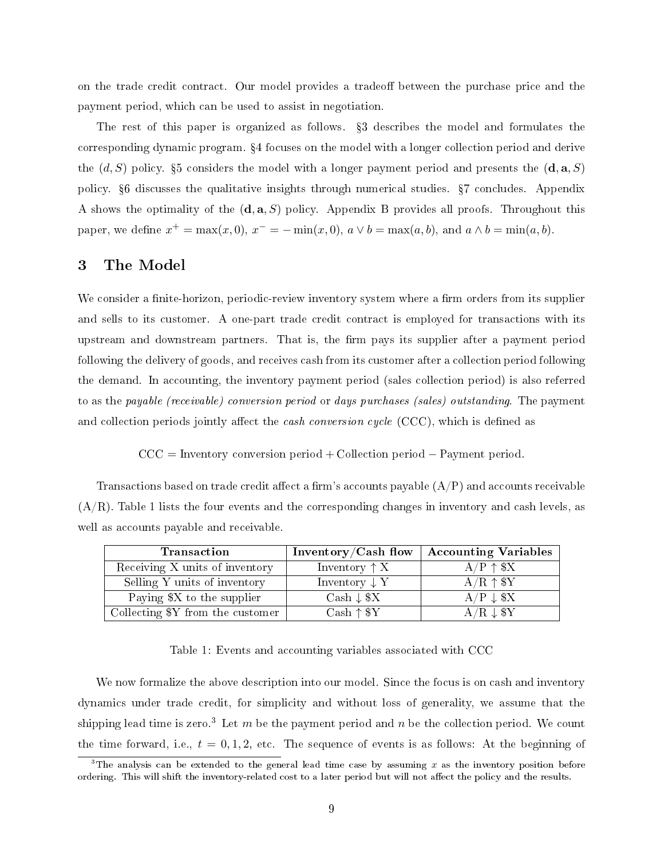on the trade credit contract. Our model provides a tradeoff between the purchase price and the payment period, which can be used to assist in negotiation.

The rest of this paper is organized as follows.  $\S 3$  describes the model and formulates the corresponding dynamic program. 4 focuses on the model with a longer collection period and derive the  $(d, S)$  policy. §5 considers the model with a longer payment period and presents the  $(\mathbf{d}, \mathbf{a}, S)$ policy. 6 discusses the qualitative insights through numerical studies. 7 concludes. Appendix A shows the optimality of the (**d***,* **a***, S*) policy. Appendix B provides all proofs. Throughout this paper, we define  $x^+ = \max(x, 0), x^- = -\min(x, 0), a \vee b = \max(a, b), \text{ and } a \wedge b = \min(a, b).$ 

# 3 The Model

We consider a finite-horizon, periodic-review inventory system where a firm orders from its supplier and sells to its customer. A one-part trade credit contract is employed for transactions with its upstream and downstream partners. That is, the firm pays its supplier after a payment period following the delivery of goods, and receives cash from its customer after a collection period following the demand. In accounting, the inventory payment period (sales collection period) is also referred to as the payable (receivable) conversion period or days purchases (sales) outstanding. The payment and collection periods jointly affect the *cash conversion cycle* (CCC), which is defined as

CCC = Inventory conversion period + Collection period *−* Payment period*.*

Transactions based on trade credit affect a firm's accounts payable  $(A/P)$  and accounts receivable  $(A/R)$ . Table 1 lists the four events and the corresponding changes in inventory and cash levels, as well as accounts payable and receivable.

| <b>Transaction</b>               | Inventory/Cash flow      | <b>Accounting Variables</b> |  |  |  |
|----------------------------------|--------------------------|-----------------------------|--|--|--|
| Receiving X units of inventory   | Inventory $\uparrow X$   | $A/P \uparrow $X$           |  |  |  |
| Selling Y units of inventory     | Inventory $\downarrow$ Y | $A/R \uparrow $Y$           |  |  |  |
| Paying \$X to the supplier       | Cash $\downarrow$ \$X    | $A/P \downarrow$ \$X        |  |  |  |
| Collecting \$Y from the customer | $Cash \uparrow $Y$       | $A/R \downarrow $Y$         |  |  |  |

Table 1: Events and accounting variables associated with CCC

We now formalize the above description into our model. Since the focus is on cash and inventory dynamics under trade credit, for simplicity and without loss of generality, we assume that the shipping lead time is zero.<sup>3</sup> Let *m* be the payment period and *n* be the collection period. We count the time forward, i.e.,  $t = 0, 1, 2$ , etc. The sequence of events is as follows: At the beginning of

<sup>&</sup>lt;sup>3</sup>The analysis can be extended to the general lead time case by assuming  $x$  as the inventory position before ordering. This will shift the inventory-related cost to a later period but will not affect the policy and the results.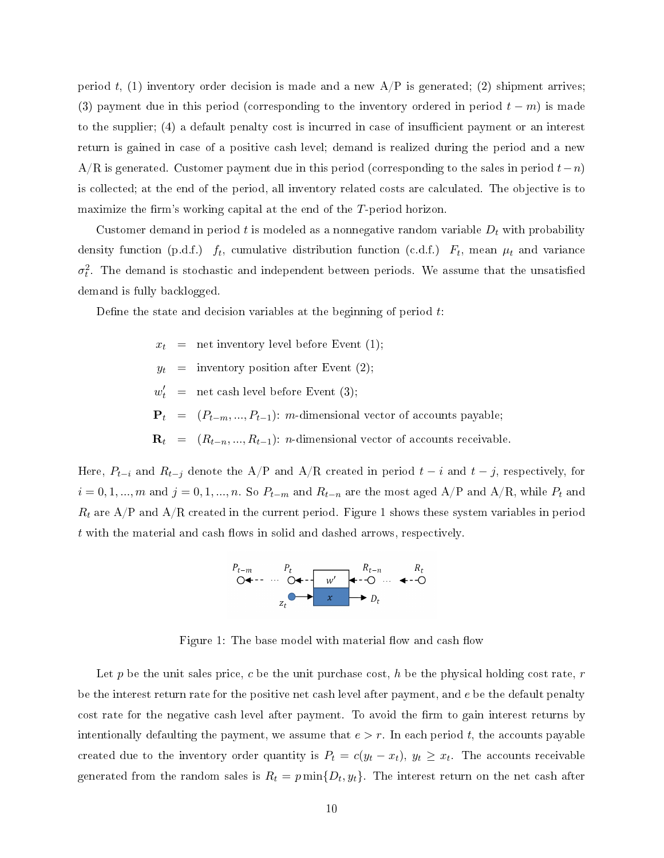period  $t$ , (1) inventory order decision is made and a new  $A/P$  is generated; (2) shipment arrives; (3) payment due in this period (corresponding to the inventory ordered in period  $t - m$ ) is made to the supplier; (4) a default penalty cost is incurred in case of insufficient payment or an interest return is gained in case of a positive cash level; demand is realized during the period and a new A/R is generated. Customer payment due in this period (corresponding to the sales in period *t−n*) is collected; at the end of the period, all inventory related costs are calculated. The objective is to maximize the firm's working capital at the end of the *T*-period horizon.

Customer demand in period  $t$  is modeled as a nonnegative random variable  $D_t$  with probability density function (p.d.f.)  $f_t$ , cumulative distribution function (c.d.f.)  $F_t$ , mean  $\mu_t$  and variance  $\sigma_t^2$ . The demand is stochastic and independent between periods. We assume that the unsatisfied demand is fully backlogged.

Define the state and decision variables at the beginning of period t.

 $x_t$  = net inventory level before Event (1);  $y_t$  = inventory position after Event (2);  $w'_t$  = net cash level before Event (3);  $\mathbf{P}_t = (P_{t-m}, ..., P_{t-1})$ : *m*-dimensional vector of accounts payable;  $\mathbf{R}_t = (R_{t-n}, ..., R_{t-1})$ : *n*-dimensional vector of accounts receivable.

Here,  $P_{t-i}$  and  $R_{t-j}$  denote the A/P and A/R created in period  $t-i$  and  $t-j$ , respectively, for  $i = 0, 1, \ldots, m$  and  $j = 0, 1, \ldots, n$ . So  $P_{t-m}$  and  $R_{t-n}$  are the most aged A/P and A/R, while  $P_t$  and  $R_t$  are  $A/P$  and  $A/R$  created in the current period. Figure 1 shows these system variables in period *t* with the material and cash flows in solid and dashed arrows, respectively.



Figure 1: The base model with material flow and cash flow

Let  $p$  be the unit sales price,  $c$  be the unit purchase cost,  $h$  be the physical holding cost rate,  $r$ be the interest return rate for the positive net cash level after payment, and *e* be the default penalty cost rate for the negative cash level after payment. To avoid the firm to gain interest returns by intentionally defaulting the payment, we assume that  $e > r$ . In each period t, the accounts payable created due to the inventory order quantity is  $P_t = c(y_t - x_t)$ ,  $y_t \ge x_t$ . The accounts receivable generated from the random sales is  $R_t = p \min\{D_t, y_t\}$ . The interest return on the net cash after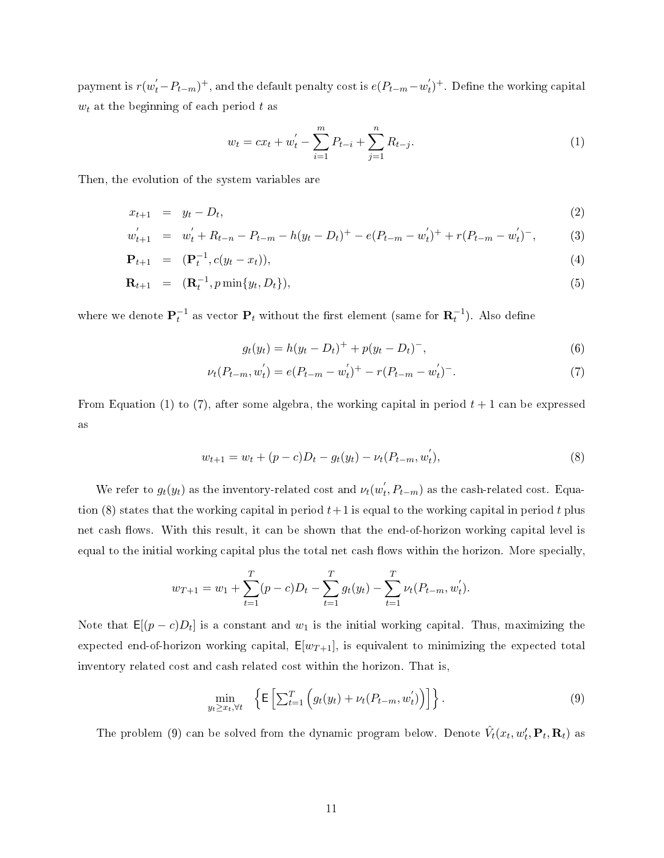payment is  $r(w'_t-P_{t-m})^+$ , and the default penalty cost is  $e(P_{t-m}-w'_t)^+$ . Define the working capital *w<sup>t</sup>* at the beginning of each period *t* as

$$
w_t = cx_t + w'_t - \sum_{i=1}^m P_{t-i} + \sum_{j=1}^n R_{t-j}.
$$
\n(1)

Then, the evolution of the system variables are

$$
x_{t+1} = y_t - D_t,\tag{2}
$$

$$
w'_{t+1} = w'_t + R_{t-n} - P_{t-m} - h(y_t - D_t)^+ - e(P_{t-m} - w'_t)^+ + r(P_{t-m} - w'_t)^-, \tag{3}
$$

$$
\mathbf{P}_{t+1} = (\mathbf{P}_t^{-1}, c(y_t - x_t)), \tag{4}
$$

$$
\mathbf{R}_{t+1} = (\mathbf{R}_t^{-1}, p \min\{y_t, D_t\}), \tag{5}
$$

where we denote  $\mathbf{P}_t^{-1}$  as vector  $\mathbf{P}_t$  without the first element (same for  $\mathbf{R}_t^{-1}$ ). Also define

$$
g_t(y_t) = h(y_t - D_t)^+ + p(y_t - D_t)^-, \tag{6}
$$

$$
\nu_t(P_{t-m}, w'_t) = e(P_{t-m} - w'_t)^+ - r(P_{t-m} - w'_t)^-\tag{7}
$$

From Equation (1) to (7), after some algebra, the working capital in period  $t + 1$  can be expressed as

$$
w_{t+1} = w_t + (p - c)D_t - g_t(y_t) - \nu_t(P_{t-m}, w'_t),
$$
\n(8)

We refer to  $g_t(y_t)$  as the inventory-related cost and  $\nu_t(w'_t, P_{t-m})$  as the cash-related cost. Equation (8) states that the working capital in period  $t+1$  is equal to the working capital in period  $t$  plus net cash flows. With this result, it can be shown that the end-of-horizon working capital level is equal to the initial working capital plus the total net cash flows within the horizon. More specially,

$$
w_{T+1} = w_1 + \sum_{t=1}^{T} (p - c)D_t - \sum_{t=1}^{T} g_t(y_t) - \sum_{t=1}^{T} \nu_t(P_{t-m}, w_t').
$$

Note that  $\mathsf{E}[(p-c)D_t]$  is a constant and  $w_1$  is the initial working capital. Thus, maximizing the expected end-of-horizon working capital,  $E[w_{T+1}]$ , is equivalent to minimizing the expected total inventory related cost and cash related cost within the horizon. That is,

$$
\min_{y_t \ge x_t, \forall t} \left\{ \mathsf{E} \left[ \sum_{t=1}^T \left( g_t(y_t) + \nu_t(P_{t-m}, w'_t) \right) \right] \right\}. \tag{9}
$$

The problem (9) can be solved from the dynamic program below. Denote  $\hat{V}_t(x_t, w'_t, \mathbf{P}_t, \mathbf{R}_t)$  as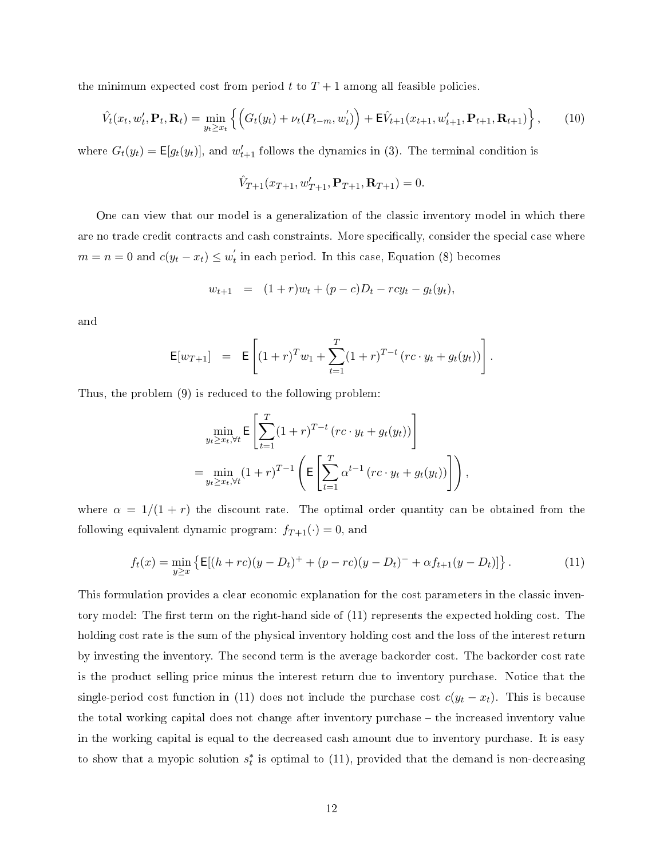the minimum expected cost from period  $t$  to  $T+1$  among all feasible policies.

$$
\hat{V}_t(x_t, w'_t, \mathbf{P}_t, \mathbf{R}_t) = \min_{y_t \ge x_t} \left\{ \left( G_t(y_t) + \nu_t(P_{t-m}, w'_t) \right) + \mathbf{E}\hat{V}_{t+1}(x_{t+1}, w'_{t+1}, \mathbf{P}_{t+1}, \mathbf{R}_{t+1}) \right\},\tag{10}
$$

where  $G_t(y_t) = \mathsf{E}[g_t(y_t)]$ , and  $w'_{t+1}$  follows the dynamics in (3). The terminal condition is

$$
\hat{V}_{T+1}(x_{T+1}, w'_{T+1}, \mathbf{P}_{T+1}, \mathbf{R}_{T+1}) = 0.
$$

One can view that our model is a generalization of the classic inventory model in which there are no trade credit contracts and cash constraints. More specifically, consider the special case where  $m = n = 0$  and  $c(y_t - x_t) \leq w'_t$  in each period. In this case, Equation (8) becomes

$$
w_{t+1} = (1+r)w_t + (p-c)D_t - rcy_t - g_t(y_t),
$$

and

$$
\mathsf{E}[w_{T+1}] = \mathsf{E}\left[ (1+r)^{T} w_1 + \sum_{t=1}^{T} (1+r)^{T-t} (rc \cdot y_t + g_t(y_t)) \right].
$$

Thus, the problem (9) is reduced to the following problem:

$$
\min_{y_t \ge x_t, \forall t} \mathsf{E}\left[\sum_{t=1}^T (1+r)^{T-t} \left( rc \cdot y_t + g_t(y_t) \right) \right]
$$
\n
$$
= \min_{y_t \ge x_t, \forall t} (1+r)^{T-1} \left( \mathsf{E}\left[\sum_{t=1}^T \alpha^{t-1} \left( rc \cdot y_t + g_t(y_t) \right) \right] \right),
$$

where  $\alpha = 1/(1 + r)$  the discount rate. The optimal order quantity can be obtained from the following equivalent dynamic program:  $f_{T+1}(\cdot) = 0$ , and

$$
f_t(x) = \min_{y \ge x} \left\{ \mathsf{E}[(h+rc)(y-D_t)^{+} + (p-rc)(y-D_t)^{-} + \alpha f_{t+1}(y-D_t)] \right\}.
$$
 (11)

This formulation provides a clear economic explanation for the cost parameters in the classic inventory model: The first term on the right-hand side of  $(11)$  represents the expected holding cost. The holding cost rate is the sum of the physical inventory holding cost and the loss of the interest return by investing the inventory. The second term is the average backorder cost. The backorder cost rate is the product selling price minus the interest return due to inventory purchase. Notice that the single-period cost function in (11) does not include the purchase cost  $c(y_t - x_t)$ . This is because the total working capital does not change after inventory purchase – the increased inventory value in the working capital is equal to the decreased cash amount due to inventory purchase. It is easy to show that a myopic solution  $s_t^*$  is optimal to  $(11)$ , provided that the demand is non-decreasing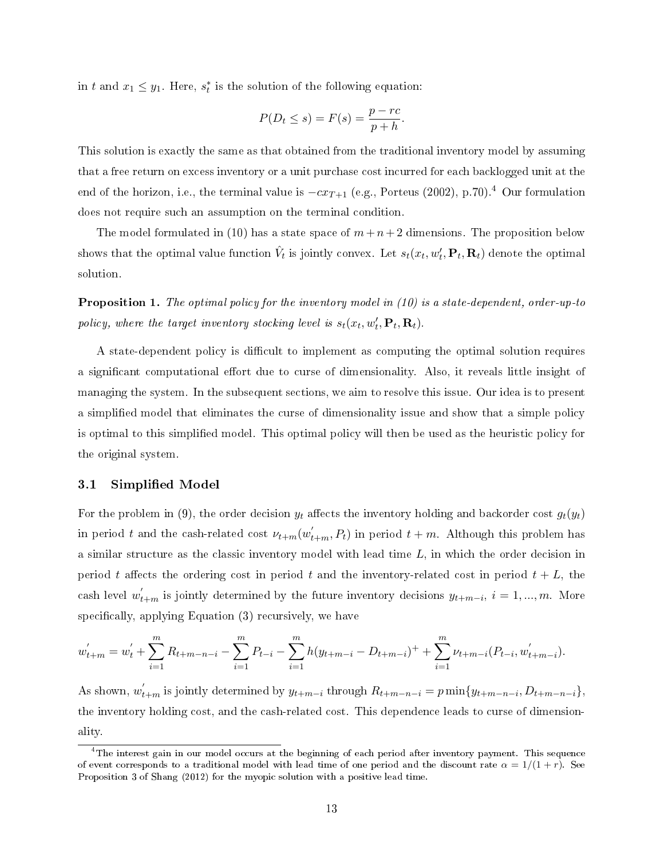in *t* and  $x_1 \leq y_1$ . Here,  $s_t^*$  is the solution of the following equation:

$$
P(D_t \le s) = F(s) = \frac{p - rc}{p + h}.
$$

This solution is exactly the same as that obtained from the traditional inventory model by assuming that a free return on excess inventory or a unit purchase cost incurred for each backlogged unit at the end of the horizon, i.e., the terminal value is  $-cx_{T+1}$  (e.g., Porteus (2002), p.70).<sup>4</sup> Our formulation does not require such an assumption on the terminal condition.

The model formulated in (10) has a state space of  $m+n+2$  dimensions. The proposition below shows that the optimal value function  $\hat{V}_t$  is jointly convex. Let  $s_t(x_t, w'_t, \mathbf{P}_t, \mathbf{R}_t)$  denote the optimal solution.

Proposition 1. The optimal policy for the inventory model in (10) is a state-dependent, order-up-to policy, where the target inventory stocking level is  $s_t(x_t, w'_t, \mathbf{P}_t, \mathbf{R}_t)$ .

A state-dependent policy is difficult to implement as computing the optimal solution requires a significant computational effort due to curse of dimensionality. Also, it reveals little insight of managing the system. In the subsequent sections, we aim to resolve this issue. Our idea is to present a simplied model that eliminates the curse of dimensionality issue and show that a simple policy is optimal to this simplied model. This optimal policy will then be used as the heuristic policy for the original system.

### 3.1 Simplified Model

For the problem in (9), the order decision  $y_t$  affects the inventory holding and backorder cost  $g_t(y_t)$ in period *t* and the cash-related cost  $\nu_{t+m}(w^{'}_{t+m}, P_t)$  in period  $t+m$ . Although this problem has a similar structure as the classic inventory model with lead time *L*, in which the order decision in period t affects the ordering cost in period t and the inventory-related cost in period  $t + L$ , the cash level  $w'_{t+m}$  is jointly determined by the future inventory decisions  $y_{t+m-i}$ ,  $i = 1, ..., m$ . More specifically, applying Equation  $(3)$  recursively, we have

$$
w'_{t+m} = w'_{t} + \sum_{i=1}^{m} R_{t+m-n-i} - \sum_{i=1}^{m} P_{t-i} - \sum_{i=1}^{m} h(y_{t+m-i} - D_{t+m-i}) + \sum_{i=1}^{m} \nu_{t+m-i} (P_{t-i}, w'_{t+m-i}).
$$

As shown,  $w'_{t+m}$  is jointly determined by  $y_{t+m-i}$  through  $R_{t+m-n-i} = p \min\{y_{t+m-n-i}, D_{t+m-n-i}\},$ the inventory holding cost, and the cash-related cost. This dependence leads to curse of dimensionality.

<sup>&</sup>lt;sup>4</sup>The interest gain in our model occurs at the beginning of each period after inventory payment. This sequence of event corresponds to a traditional model with lead time of one period and the discount rate  $\alpha = 1/(1 + r)$ . See Proposition 3 of Shang (2012) for the myopic solution with a positive lead time.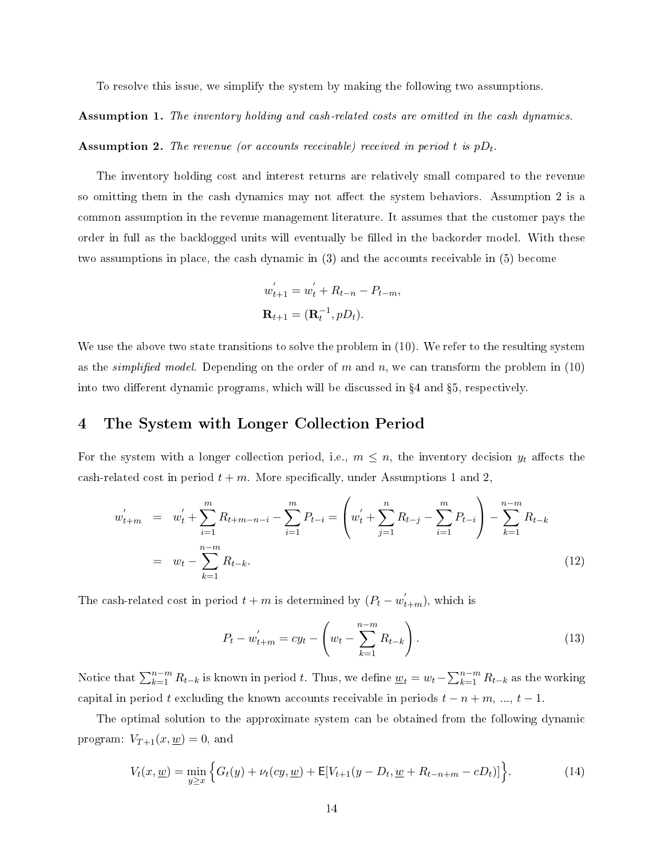To resolve this issue, we simplify the system by making the following two assumptions.

Assumption 1. The inventory holding and cash-related costs are omitted in the cash dynamics.

Assumption 2. The revenue (or accounts receivable) received in period *t* is *pDt*.

The inventory holding cost and interest returns are relatively small compared to the revenue so omitting them in the cash dynamics may not affect the system behaviors. Assumption 2 is a common assumption in the revenue management literature. It assumes that the customer pays the order in full as the backlogged units will eventually be filled in the backorder model. With these two assumptions in place, the cash dynamic in (3) and the accounts receivable in (5) become

$$
w'_{t+1} = w'_{t} + R_{t-n} - P_{t-m},
$$
  

$$
\mathbf{R}_{t+1} = (\mathbf{R}_{t}^{-1}, pD_{t}).
$$

We use the above two state transitions to solve the problem in  $(10)$ . We refer to the resulting system as the simplied model. Depending on the order of *m* and *n*, we can transform the problem in (10) into two different dynamic programs, which will be discussed in  $\S 4$  and  $\S 5$ , respectively.

### 4 The System with Longer Collection Period

For the system with a longer collection period, i.e.,  $m \leq n$ , the inventory decision  $y_t$  affects the cash-related cost in period  $t + m$ . More specifically, under Assumptions 1 and 2,

$$
w'_{t+m} = w'_{t} + \sum_{i=1}^{m} R_{t+m-n-i} - \sum_{i=1}^{m} P_{t-i} = \left(w'_{t} + \sum_{j=1}^{n} R_{t-j} - \sum_{i=1}^{m} P_{t-i}\right) - \sum_{k=1}^{n-m} R_{t-k}
$$
  

$$
= w_{t} - \sum_{k=1}^{n-m} R_{t-k}.
$$
 (12)

The cash-related cost in period  $t + m$  is determined by  $(P_t - w'_{t+m})$ , which is

$$
P_t - w'_{t+m} = cy_t - \left(w_t - \sum_{k=1}^{n-m} R_{t-k}\right).
$$
\n(13)

Notice that  $\sum_{k=1}^{n-m} R_{t-k}$  is known in period t. Thus, we define  $\underline{w}_t = w_t - \sum_{k=1}^{n-m} R_{t-k}$  as the working capital in period *t* excluding the known accounts receivable in periods  $t - n + m$ , ...,  $t - 1$ .

The optimal solution to the approximate system can be obtained from the following dynamic program:  $V_{T+1}(x, \underline{w}) = 0$ , and

$$
V_t(x, \underline{w}) = \min_{y \ge x} \left\{ G_t(y) + \nu_t(cy, \underline{w}) + \mathsf{E}[V_{t+1}(y - D_t, \underline{w} + R_{t-n+m} - cD_t)] \right\}.
$$
 (14)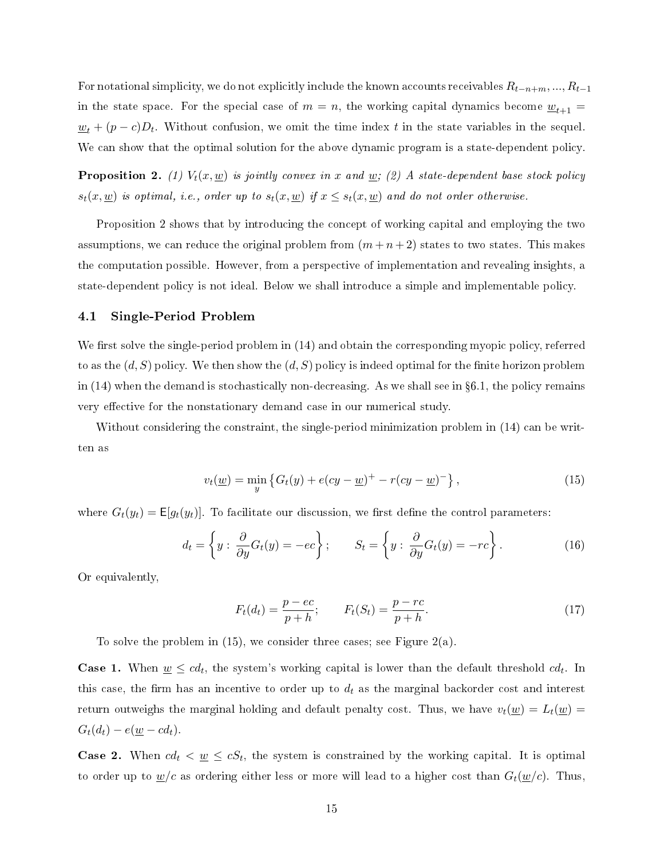For notational simplicity, we do not explicitly include the known accounts receivables  $R_{t-n+m},...,R_{t-1}$ in the state space. For the special case of  $m = n$ , the working capital dynamics become  $\underline{w}_{t+1} =$  $w_t + (p - c)D_t$ . Without confusion, we omit the time index *t* in the state variables in the sequel. We can show that the optimal solution for the above dynamic program is a state-dependent policy.

**Proposition 2.** (1)  $V_t(x, \underline{w})$  is jointly convex in x and  $\underline{w}$ ; (2) A state-dependent base stock policy *s*<sub>t</sub>(*x, <u>w</u>)* is optimal, i.e., order up to  $s_t(x, \underline{w})$  if  $x \leq s_t(x, \underline{w})$  and do not order otherwise.

Proposition 2 shows that by introducing the concept of working capital and employing the two assumptions, we can reduce the original problem from  $(m+n+2)$  states to two states. This makes the computation possible. However, from a perspective of implementation and revealing insights, a state-dependent policy is not ideal. Below we shall introduce a simple and implementable policy.

### 4.1 Single-Period Problem

We first solve the single-period problem in  $(14)$  and obtain the corresponding myopic policy, referred to as the  $(d, S)$  policy. We then show the  $(d, S)$  policy is indeed optimal for the finite horizon problem in  $(14)$  when the demand is stochastically non-decreasing. As we shall see in §6.1, the policy remains very effective for the nonstationary demand case in our numerical study.

Without considering the constraint, the single-period minimization problem in (14) can be written as

$$
v_t(\underline{w}) = \min_{y} \left\{ G_t(y) + e(cy - \underline{w})^+ - r(cy - \underline{w})^- \right\},\tag{15}
$$

where  $G_t(y_t) = \mathsf{E}[g_t(y_t)]$ . To facilitate our discussion, we first define the control parameters:

$$
d_t = \left\{ y : \frac{\partial}{\partial y} G_t(y) = -ec \right\}; \qquad S_t = \left\{ y : \frac{\partial}{\partial y} G_t(y) = -rc \right\}.
$$
 (16)

Or equivalently,

$$
F_t(d_t) = \frac{p - ec}{p + h}; \qquad F_t(S_t) = \frac{p - rc}{p + h}.
$$
\n(17)

To solve the problem in (15), we consider three cases; see Figure 2(a).

**Case 1.** When  $\underline{w} \leq cd_t$ , the system's working capital is lower than the default threshold  $cd_t$ . In this case, the firm has an incentive to order up to  $d_t$  as the marginal backorder cost and interest return outweighs the marginal holding and default penalty cost. Thus, we have  $v_t(\underline{w}) = L_t(\underline{w})$  $G_t(d_t) - e(\underline{w} - cd_t).$ 

**Case 2.** When  $cd_t < \underline{w} \leq cS_t$ , the system is constrained by the working capital. It is optimal to order up to  $w/c$  as ordering either less or more will lead to a higher cost than  $G_t(w/c)$ . Thus,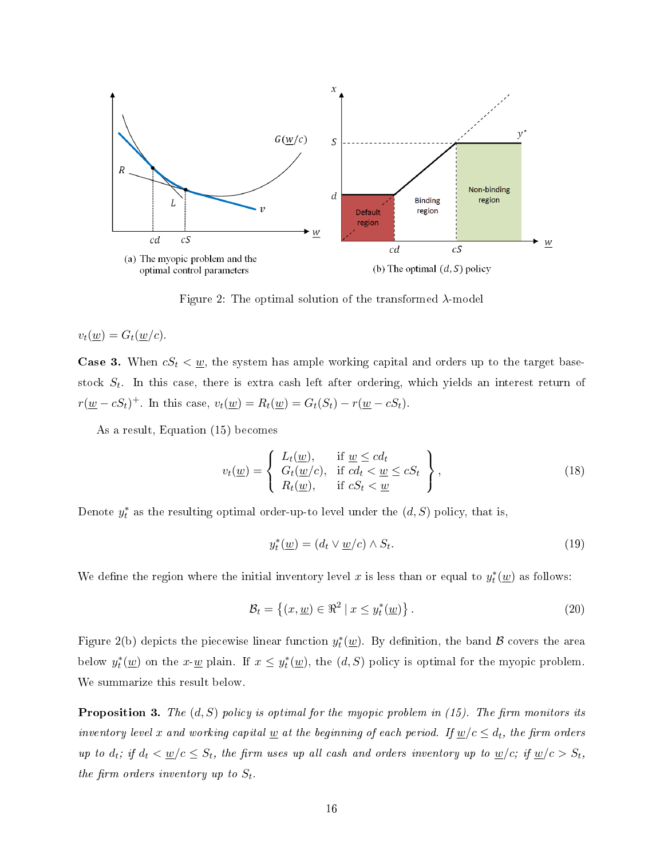

Figure 2: The optimal solution of the transformed *λ*-model

 $v_t(\underline{w}) = G_t(\underline{w}/c).$ 

**Case 3.** When  $cS_t < \underline{w}$ , the system has ample working capital and orders up to the target basestock *S<sup>t</sup>* . In this case, there is extra cash left after ordering, which yields an interest return of *r*(*w* − *cS*<sup>*t*</sup>)<sup>+</sup>. In this case,  $v_t$ (*w*) =  $R_t$ (*w*) =  $G_t$ (*S*<sup>*t*</sup>) −  $r$ (*w* − *cS*<sup>*t*</sup>).

As a result, Equation (15) becomes

$$
v_t(\underline{w}) = \begin{cases} L_t(\underline{w}), & \text{if } \underline{w} \le cd_t \\ G_t(\underline{w}/c), & \text{if } cd_t < \underline{w} \le cS_t \\ R_t(\underline{w}), & \text{if } cS_t < \underline{w} \end{cases},
$$
\n(18)

Denote  $y_t^*$  as the resulting optimal order-up-to level under the  $(d, S)$  policy, that is,

$$
y_t^*(\underline{w}) = (d_t \vee \underline{w}/c) \wedge S_t.
$$
\n<sup>(19)</sup>

We define the region where the initial inventory level  $x$  is less than or equal to  $y_t^*(\underline{w})$  as follows:

$$
\mathcal{B}_t = \left\{ (x, \underline{w}) \in \Re^2 \mid x \le y_t^*(\underline{w}) \right\}.
$$
\n
$$
(20)
$$

Figure 2(b) depicts the piecewise linear function  $y_t^*(\underline{w})$ . By definition, the band  ${\cal B}$  covers the area below  $y_t^*(\underline{w})$  on the *x*- $\underline{w}$  plain. If  $x \leq y_t^*(\underline{w})$ , the  $(d, S)$  policy is optimal for the myopic problem. We summarize this result below.

**Proposition 3.** The  $(d, S)$  policy is optimal for the myopic problem in  $(15)$ . The firm monitors its inventory level x and working capital <u>w</u> at the beginning of each period. If  $w/c \leq d_t$ , the firm orders up to  $d_t$ ; if  $d_t < \underline{w}/c \leq S_t$ , the firm uses up all cash and orders inventory up to  $\underline{w}/c$ ; if  $\underline{w}/c > S_t$ , the firm orders inventory up to  $S_t$ .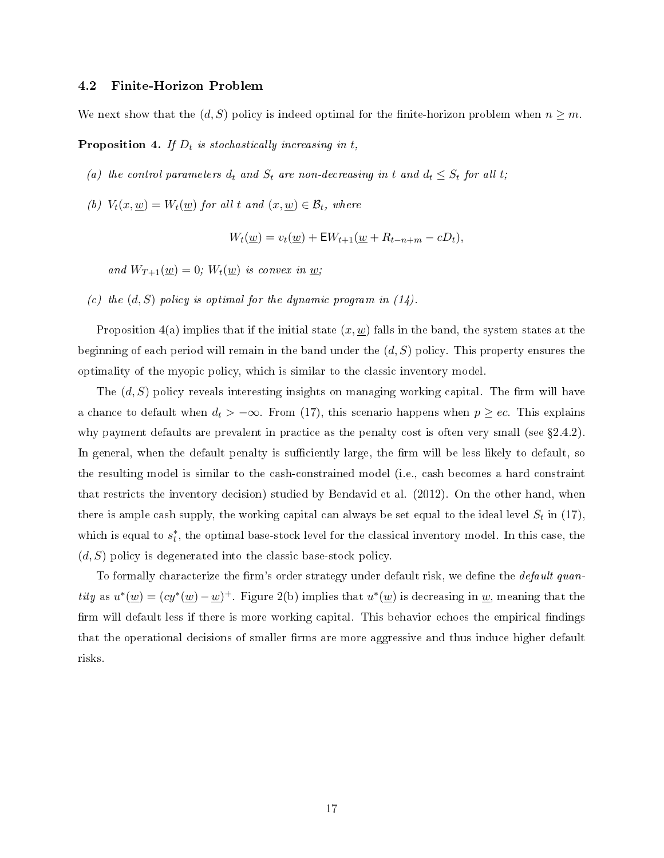### 4.2 Finite-Horizon Problem

We next show that the  $(d, S)$  policy is indeed optimal for the finite-horizon problem when  $n \geq m$ .

Proposition 4. If *D<sup>t</sup>* is stochastically increasing in *t*,

- (a) the control parameters  $d_t$  and  $S_t$  are non-decreasing in  $t$  and  $d_t \leq S_t$  for all  $t$ ;
- (b)  $V_t(x, \underline{w}) = W_t(\underline{w})$  for all t and  $(x, \underline{w}) \in \mathcal{B}_t$ , where

$$
W_t(\underline{w}) = v_t(\underline{w}) + \mathsf{E}W_{t+1}(\underline{w} + R_{t-n+m} - cD_t),
$$

and  $W_{T+1}(\underline{w}) = 0$ ;  $W_t(\underline{w})$  is convex in  $\underline{w}$ ;

(c) the  $(d, S)$  policy is optimal for the dynamic program in  $(14)$ .

Proposition  $4(a)$  implies that if the initial state  $(x, \underline{w})$  falls in the band, the system states at the beginning of each period will remain in the band under the (*d, S*) policy. This property ensures the optimality of the myopic policy, which is similar to the classic inventory model.

The  $(d, S)$  policy reveals interesting insights on managing working capital. The firm will have a chance to default when  $d_t$  >  $-\infty$ . From (17), this scenario happens when  $p \geq ec$ . This explains why payment defaults are prevalent in practice as the penalty cost is often very small (see  $\S 2.4.2$ ). In general, when the default penalty is sufficiently large, the firm will be less likely to default, so the resulting model is similar to the cash-constrained model (i.e., cash becomes a hard constraint that restricts the inventory decision) studied by Bendavid et al. (2012). On the other hand, when there is ample cash supply, the working capital can always be set equal to the ideal level  $S_t$  in (17), which is equal to  $s_t^*$ , the optimal base-stock level for the classical inventory model. In this case, the (*d, S*) policy is degenerated into the classic base-stock policy.

To formally characterize the firm's order strategy under default risk, we define the  $default\ quan$ *tity* as  $u^*(\underline{w}) = (cy^*(\underline{w}) - \underline{w})^+$ . Figure 2(b) implies that  $u^*(\underline{w})$  is decreasing in  $\underline{w}$ , meaning that the firm will default less if there is more working capital. This behavior echoes the empirical findings that the operational decisions of smaller firms are more aggressive and thus induce higher default risks.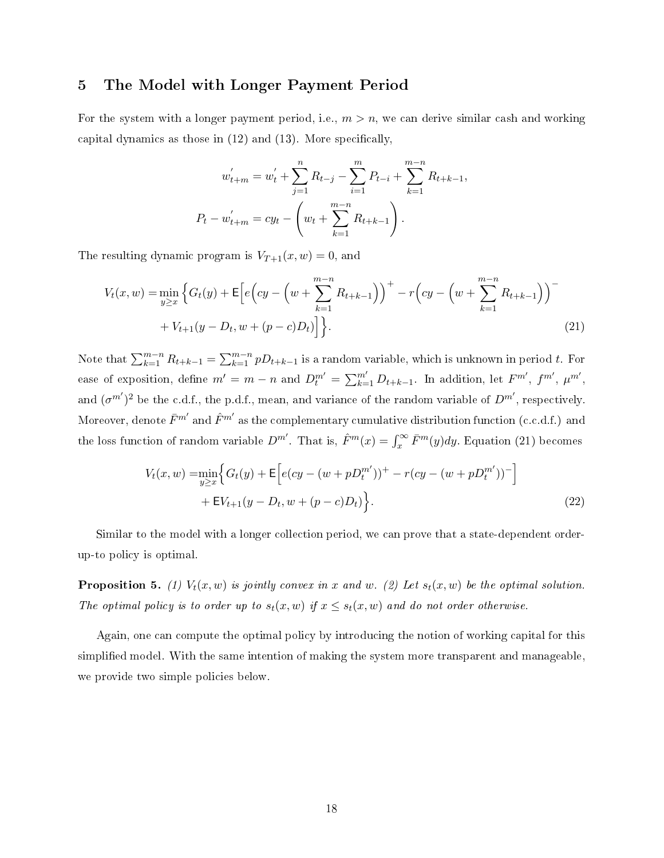### 5 The Model with Longer Payment Period

For the system with a longer payment period, i.e.,  $m > n$ , we can derive similar cash and working capital dynamics as those in  $(12)$  and  $(13)$ . More specifically,

$$
w'_{t+m} = w'_t + \sum_{j=1}^n R_{t-j} - \sum_{i=1}^m P_{t-i} + \sum_{k=1}^{m-n} R_{t+k-1},
$$
  

$$
P_t - w'_{t+m} = cy_t - \left(w_t + \sum_{k=1}^{m-n} R_{t+k-1}\right).
$$

The resulting dynamic program is  $V_{T+1}(x, w) = 0$ , and

$$
V_t(x, w) = \min_{y \ge x} \left\{ G_t(y) + \mathsf{E} \left[ e \left( cy - \left( w + \sum_{k=1}^{m-n} R_{t+k-1} \right) \right)^+ - r \left( cy - \left( w + \sum_{k=1}^{m-n} R_{t+k-1} \right) \right)^- + V_{t+1}(y - D_t, w + (p-c)D_t) \right] \right\}.
$$
\n(21)

Note that  $\sum_{k=1}^{m-n} R_{t+k-1} = \sum_{k=1}^{m-n} p D_{t+k-1}$  is a random variable, which is unknown in period *t*. For ease of exposition, define  $m' = m - n$  and  $D_t^{m'} = \sum_{k=1}^{m'} D_{t+k-1}$ . In addition, let  $F^{m'}$ ,  $f^{m'}$ ,  $\mu^{m'}$ , and  $(\sigma^{m'})^2$  be the c.d.f., the p.d.f., mean, and variance of the random variable of  $D^{m'}$ , respectively. Moreover, denote  $\bar{F}^{m'}$  and  $\hat{F}^{m'}$  as the complementary cumulative distribution function (c.c.d.f.) and the loss function of random variable  $D^{m'}$ . That is,  $\hat{F}^m(x) = \int_x^{\infty} \bar{F}^m(y) dy$ . Equation (21) becomes

$$
V_t(x, w) = \min_{y \ge x} \Big\{ G_t(y) + \mathsf{E} \Big[ e(cy - (w + pD_t^{m'}))^{+} - r(cy - (w + pD_t^{m'}))^{-} \Big] + \mathsf{E} V_{t+1}(y - D_t, w + (p - c)D_t) \Big\}.
$$
\n(22)

Similar to the model with a longer collection period, we can prove that a state-dependent orderup-to policy is optimal.

**Proposition 5.** (1)  $V_t(x, w)$  is jointly convex in x and w. (2) Let  $s_t(x, w)$  be the optimal solution. The optimal policy is to order up to  $s_t(x, w)$  if  $x \leq s_t(x, w)$  and do not order otherwise.

Again, one can compute the optimal policy by introducing the notion of working capital for this simplied model. With the same intention of making the system more transparent and manageable, we provide two simple policies below.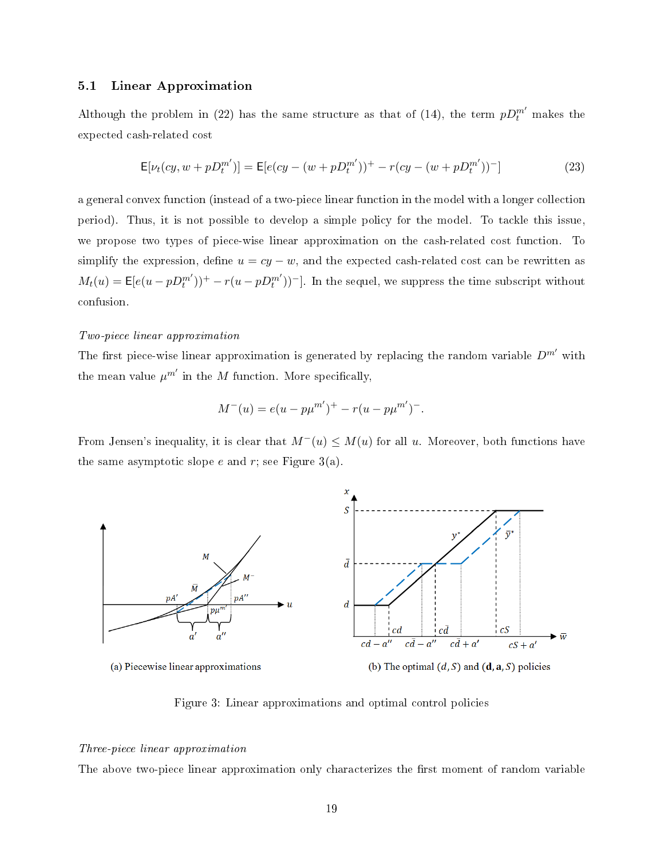### 5.1 Linear Approximation

Although the problem in (22) has the same structure as that of (14), the term  $pD_t^{m'}$  makes the expected cash-related cost

$$
\mathsf{E}[\nu_t(cy, w + pD_t^{m'})] = \mathsf{E}[e(cy - (w + pD_t^{m'}))^+ - r(cy - (w + pD_t^{m'}))^-]
$$
\n(23)

a general convex function (instead of a two-piece linear function in the model with a longer collection period). Thus, it is not possible to develop a simple policy for the model. To tackle this issue, we propose two types of piece-wise linear approximation on the cash-related cost function. To simplify the expression, define  $u = cy - w$ , and the expected cash-related cost can be rewritten as  $M_t(u) = \mathsf{E}[e(u - pD_t^{m'}))^+ - r(u - pD_t^{m'})]$ . In the sequel, we suppress the time subscript without confusion.

#### Two-piece linear approximation

The first piece-wise linear approximation is generated by replacing the random variable  $D^{m'}$  with the mean value  $\mu^{m'}$  in the  $M$  function. More specifically,

$$
M^{-}(u) = e(u - p\mu^{m'})^{+} - r(u - p\mu^{m'})^{-}.
$$

From Jensen's inequality, it is clear that  $M$ <sup>*−*</sup>(*u*)  $\leq M(u)$  for all *u*. Moreover, both functions have the same asymptotic slope  $e$  and  $r$ ; see Figure 3(a).



Figure 3: Linear approximations and optimal control policies

#### Three-piece linear approximation

The above two-piece linear approximation only characterizes the first moment of random variable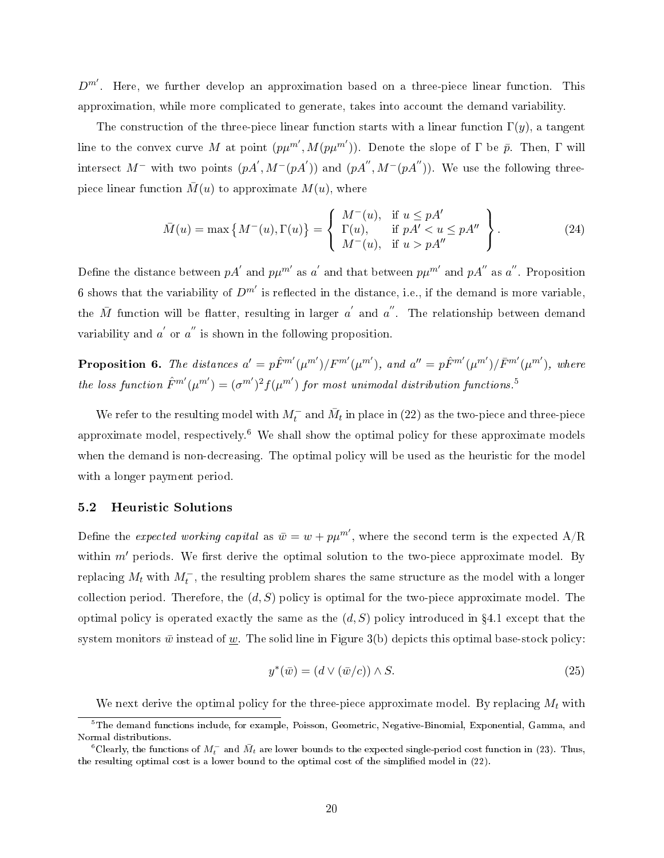*Dm′* . Here, we further develop an approximation based on a three-piece linear function. This approximation, while more complicated to generate, takes into account the demand variability.

The construction of the three-piece linear function starts with a linear function  $\Gamma(y)$ , a tangent line to the convex curve *M* at point  $(p\mu^{m'}, M(p\mu^{m'}))$ . Denote the slope of  $\Gamma$  be  $\bar{p}$ . Then,  $\Gamma$  will intersect  $M^-$  with two points  $(pA', M^-(pA'))$  and  $(pA'', M^-(pA''))$ . We use the following threepiece linear function  $M(u)$  to approximate  $M(u)$ , where

$$
\overline{M}(u) = \max\left\{M^-(u), \Gamma(u)\right\} = \left\{\begin{array}{ll} M^-(u), & \text{if } u \leq pA'\\ \Gamma(u), & \text{if } pA' < u \leq pA''\\ M^-(u), & \text{if } u > pA'' \end{array}\right\}.
$$
\n
$$
(24)
$$

Define the distance between  $pA^{'}$  and  $p\mu^{m'}$  as  $a^{'}$  and that between  $p\mu^{m'}$  and  $pA^{''}$  as  $a^{''}$ . Proposition 6 shows that the variability of  $D^{m'}$  is reflected in the distance, i.e., if the demand is more variable, the  $\bar{M}$  function will be flatter, resulting in larger  $a^{'}$  and  $a^{''}$ . The relationship between demand variability and *a'* or *a*<sup>"</sup> is shown in the following proposition.

**Proposition 6.** The distances  $a' = p\hat{F}^{m'}(\mu^{m'})/F^{m'}(\mu^{m'})$ , and  $a'' = p\hat{F}^{m'}(\mu^{m'})/\bar{F}^{m'}(\mu^{m'})$ , where the loss function  $\hat{F}^{m'}(\mu^{m'}) = (\sigma^{m'})^2 f(\mu^{m'})$  for most unimodal distribution functions.<sup>5</sup>

We refer to the resulting model with  $M_t^-$  and  $\bar{M}_t$  in place in (22) as the two-piece and three-piece approximate model, respectively.<sup>6</sup> We shall show the optimal policy for these approximate models when the demand is non-decreasing. The optimal policy will be used as the heuristic for the model with a longer payment period.

### 5.2 Heuristic Solutions

Define the *expected working capital* as  $\bar{w} = w + p\mu^{m'}$ , where the second term is the expected A/R within  $m'$  periods. We first derive the optimal solution to the two-piece approximate model. By  $\mathop{\rm replacing}\nolimits M_t$  with  $M^-_t,$  the resulting problem shares the same structure as the model with a longer collection period. Therefore, the  $(d, S)$  policy is optimal for the two-piece approximate model. The optimal policy is operated exactly the same as the  $(d, S)$  policy introduced in  $\S 4.1$  except that the system monitors  $\bar{w}$  instead of <u>w</u>. The solid line in Figure 3(b) depicts this optimal base-stock policy:

$$
y^*(\bar{w}) = (d \lor (\bar{w}/c)) \land S. \tag{25}
$$

We next derive the optimal policy for the three-piece approximate model. By replacing *M<sup>t</sup>* with

 $^5$ The demand functions include, for example, Poisson, Geometric, Negative-Binomial, Exponential, Gamma, and Normal distributions.

 $^6$ Clearly, the functions of  $M_t^-$  and  $\bar{M}_t$  are lower bounds to the expected single-period cost function in (23). Thus, the resulting optimal cost is a lower bound to the optimal cost of the simplied model in (22).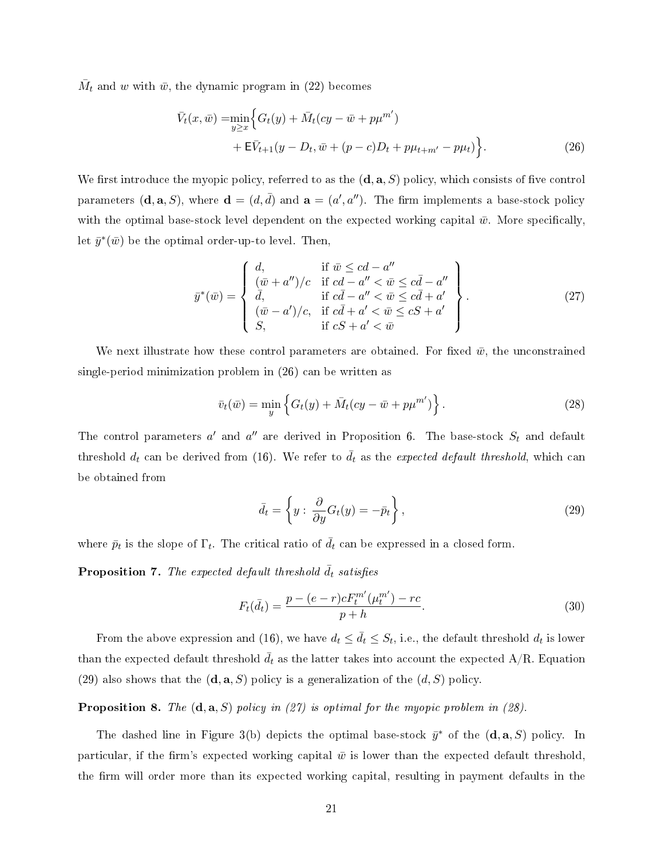$\bar{M}_t$  and *w* with  $\bar{w}$ , the dynamic program in (22) becomes

$$
\bar{V}_t(x,\bar{w}) = \min_{y \ge x} \Big\{ G_t(y) + \bar{M}_t(cy - \bar{w} + p\mu^{m'}) + \mathbf{E}\bar{V}_{t+1}(y - D_t, \bar{w} + (p - c)D_t + p\mu_{t+m'} - p\mu_t) \Big\}.
$$
\n(26)

We first introduce the myopic policy, referred to as the  $(\mathbf{d}, \mathbf{a}, S)$  policy, which consists of five control parameters  $(\mathbf{d}, \mathbf{a}, S)$ , where  $\mathbf{d} = (d, \bar{d})$  and  $\mathbf{a} = (a', a'')$ . The firm implements a base-stock policy with the optimal base-stock level dependent on the expected working capital  $\bar{w}$ . More specifically, let  $\bar{y}^*(\bar{w})$  be the optimal order-up-to level. Then,

$$
\bar{y}^*(\bar{w}) = \begin{cases}\n d, & \text{if } \bar{w} \le cd - a'' \\
 (\bar{w} + a'')/c & \text{if } cd - a'' < \bar{w} \le c\bar{d} - a'' \\
 \bar{d}, & \text{if } c\bar{d} - a'' < \bar{w} \le c\bar{d} + a' \\
 (\bar{w} - a')/c, & \text{if } c\bar{d} + a' < \bar{w} \le cS + a' \\
 S, & \text{if } cS + a' < \bar{w}\n\end{cases}
$$
\n(27)

We next illustrate how these control parameters are obtained. For fixed  $\bar{w}$ , the unconstrained single-period minimization problem in (26) can be written as

$$
\bar{v}_t(\bar{w}) = \min_{y} \left\{ G_t(y) + \bar{M}_t(cy - \bar{w} + p\mu^{m'}) \right\}.
$$
\n(28)

The control parameters  $a'$  and  $a''$  are derived in Proposition 6. The base-stock  $S_t$  and default threshold  $d_t$  can be derived from (16). We refer to  $\bar{d}_t$  as the *expected default threshold*, which can be obtained from

$$
\bar{d}_t = \left\{ y : \frac{\partial}{\partial y} G_t(y) = -\bar{p}_t \right\},\tag{29}
$$

where  $\bar{p}_t$  is the slope of  $\Gamma_t$ . The critical ratio of  $\bar{d}_t$  can be expressed in a closed form.

**Proposition 7.** The expected default threshold  $\bar{d}_t$  satisfies

$$
F_t(\bar{d}_t) = \frac{p - (e - r)cF_t^{m'}(\mu_t^{m'}) - rc}{p + h}.
$$
\n(30)

From the above expression and (16), we have  $d_t \leq \bar{d}_t \leq S_t$ , i.e., the default threshold  $d_t$  is lower than the expected default threshold  $\bar{d}_t$  as the latter takes into account the expected A/R. Equation (29) also shows that the  $(\mathbf{d}, \mathbf{a}, S)$  policy is a generalization of the  $(d, S)$  policy.

Proposition 8. The (**d***,* **a***, S*) policy in (27) is optimal for the myopic problem in (28).

The dashed line in Figure 3(b) depicts the optimal base-stock  $\bar{y}^*$  of the  $(\mathbf{d}, \mathbf{a}, S)$  policy. In particular, if the firm's expected working capital  $\bar{w}$  is lower than the expected default threshold. the firm will order more than its expected working capital, resulting in payment defaults in the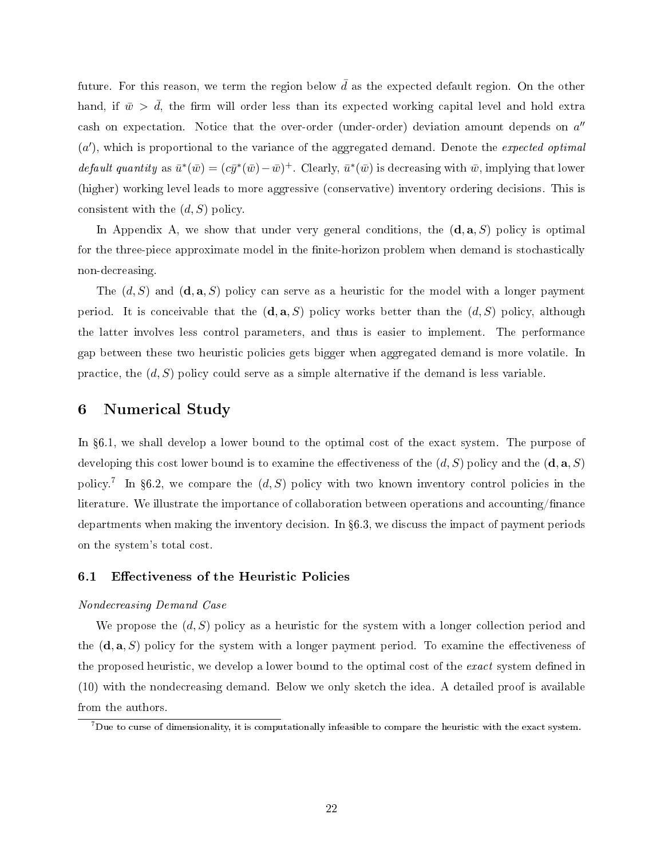future. For this reason, we term the region below  $\bar{d}$  as the expected default region. On the other hand, if  $\bar{w}$   $>$   $\bar{d}$ , the firm will order less than its expected working capital level and hold extra cash on expectation. Notice that the over-order (under-order) deviation amount depends on *a ′′* (a'), which is proportional to the variance of the aggregated demand. Denote the *expected optimal default quantity* as  $\bar{u}^*(\bar{w}) = (c\bar{y}^*(\bar{w}) - \bar{w})^+$ . Clearly,  $\bar{u}^*(\bar{w})$  is decreasing with  $\bar{w}$ , implying that lower (higher) working level leads to more aggressive (conservative) inventory ordering decisions. This is consistent with the (*d, S*) policy.

In Appendix A, we show that under very general conditions, the (**d***,* **a***, S*) policy is optimal for the three-piece approximate model in the finite-horizon problem when demand is stochastically non-decreasing.

The (*d, S*) and (**d***,* **a***, S*) policy can serve as a heuristic for the model with a longer payment period. It is conceivable that the  $(\mathbf{d}, \mathbf{a}, S)$  policy works better than the  $(d, S)$  policy, although the latter involves less control parameters, and thus is easier to implement. The performance gap between these two heuristic policies gets bigger when aggregated demand is more volatile. In practice, the (*d, S*) policy could serve as a simple alternative if the demand is less variable.

### 6 Numerical Study

In §6.1, we shall develop a lower bound to the optimal cost of the exact system. The purpose of developing this cost lower bound is to examine the effectiveness of the  $(d, S)$  policy and the  $(\mathbf{d}, \mathbf{a}, S)$ policy.<sup>7</sup> In §6.2, we compare the  $(d, S)$  policy with two known inventory control policies in the literature. We illustrate the importance of collaboration between operations and accounting/finance departments when making the inventory decision. In 6.3, we discuss the impact of payment periods on the system's total cost.

### 6.1 Effectiveness of the Heuristic Policies

### Nondecreasing Demand Case

We propose the (*d, S*) policy as a heuristic for the system with a longer collection period and the  $(\mathbf{d}, \mathbf{a}, S)$  policy for the system with a longer payment period. To examine the effectiveness of the proposed heuristic, we develop a lower bound to the optimal cost of the *exact* system defined in (10) with the nondecreasing demand. Below we only sketch the idea. A detailed proof is available from the authors.

 $^7$ Due to curse of dimensionality, it is computationally infeasible to compare the heuristic with the exact system.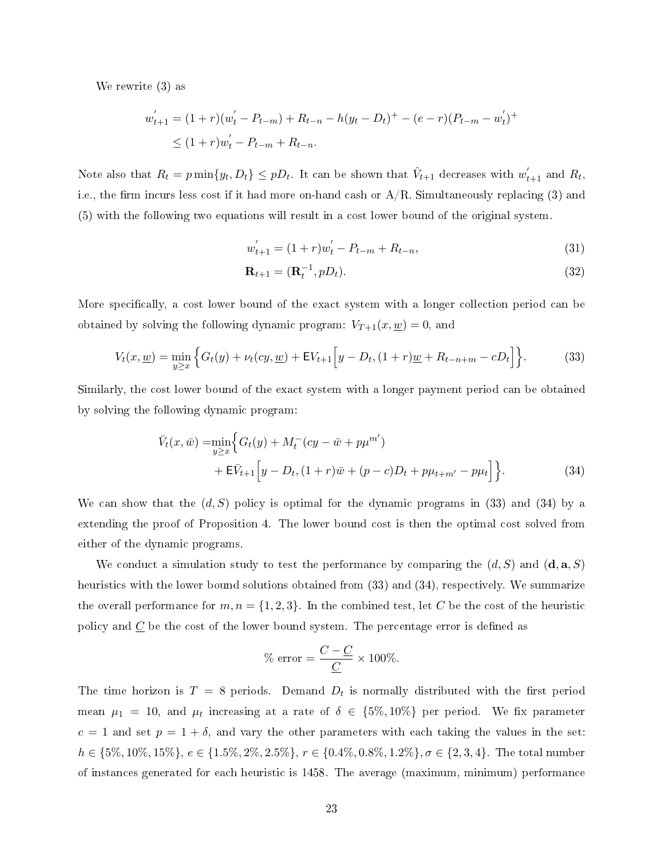We rewrite (3) as

$$
w'_{t+1} = (1+r)(w'_{t} - P_{t-m}) + R_{t-n} - h(y_{t} - D_{t})^{+} - (e-r)(P_{t-m} - w'_{t})^{+}
$$
  
\$\leq (1+r)w'\_{t} - P\_{t-m} + R\_{t-n}\$.

Note also that  $R_t = p \min\{y_t, D_t\} \leq pD_t$ . It can be shown that  $\hat{V}_{t+1}$  decreases with  $w_{t+1}^{'}$  and  $R_t$ , i.e., the firm incurs less cost if it had more on-hand cash or  $A/R$ . Simultaneously replacing (3) and (5) with the following two equations will result in a cost lower bound of the original system.

$$
w'_{t+1} = (1+r)w'_{t} - P_{t-m} + R_{t-n},
$$
\n(31)

$$
\mathbf{R}_{t+1} = (\mathbf{R}_t^{-1}, pD_t). \tag{32}
$$

More specifically, a cost lower bound of the exact system with a longer collection period can be obtained by solving the following dynamic program:  $V_{T+1}(x, \underline{w}) = 0$ , and

$$
V_t(x, \underline{w}) = \min_{y \ge x} \left\{ G_t(y) + \nu_t(cy, \underline{w}) + \mathsf{E}V_{t+1} \Big[ y - D_t, (1+r)\underline{w} + R_{t-n+m} - cD_t \Big] \right\}.
$$
 (33)

Similarly, the cost lower bound of the exact system with a longer payment period can be obtained by solving the following dynamic program:

$$
\bar{V}_t(x,\bar{w}) = \min_{y \ge x} \Big\{ G_t(y) + M_t^-(cy - \bar{w} + p\mu^{m'}) + \mathbf{E}\bar{V}_{t+1} \Big[ y - D_t, (1+r)\bar{w} + (p-c)D_t + p\mu_{t+m'} - p\mu_t \Big] \Big\}.
$$
\n(34)

We can show that the  $(d, S)$  policy is optimal for the dynamic programs in (33) and (34) by a extending the proof of Proposition 4. The lower bound cost is then the optimal cost solved from either of the dynamic programs.

We conduct a simulation study to test the performance by comparing the  $(d, S)$  and  $(\mathbf{d}, \mathbf{a}, S)$ heuristics with the lower bound solutions obtained from (33) and (34), respectively. We summarize the overall performance for  $m, n = \{1, 2, 3\}$ . In the combined test, let *C* be the cost of the heuristic policy and  $C$  be the cost of the lower bound system. The percentage error is defined as

% error = 
$$
\frac{C - C}{C}
$$
 × 100%.

The time horizon is  $T = 8$  periods. Demand  $D_t$  is normally distributed with the first period mean  $\mu_1$  = 10, and  $\mu_t$  increasing at a rate of  $\delta$   $\in$   $\{5\%, 10\%\}$  per period. We fix parameter  $c = 1$  and set  $p = 1 + \delta$ , and vary the other parameters with each taking the values in the set:  $h \in \{5\%, 10\%, 15\%\}, e \in \{1.5\%, 2\%, 2.5\%\}, r \in \{0.4\%, 0.8\%, 1.2\%\}, \sigma \in \{2, 3, 4\}.$  The total number of instances generated for each heuristic is 1458. The average (maximum, minimum) performance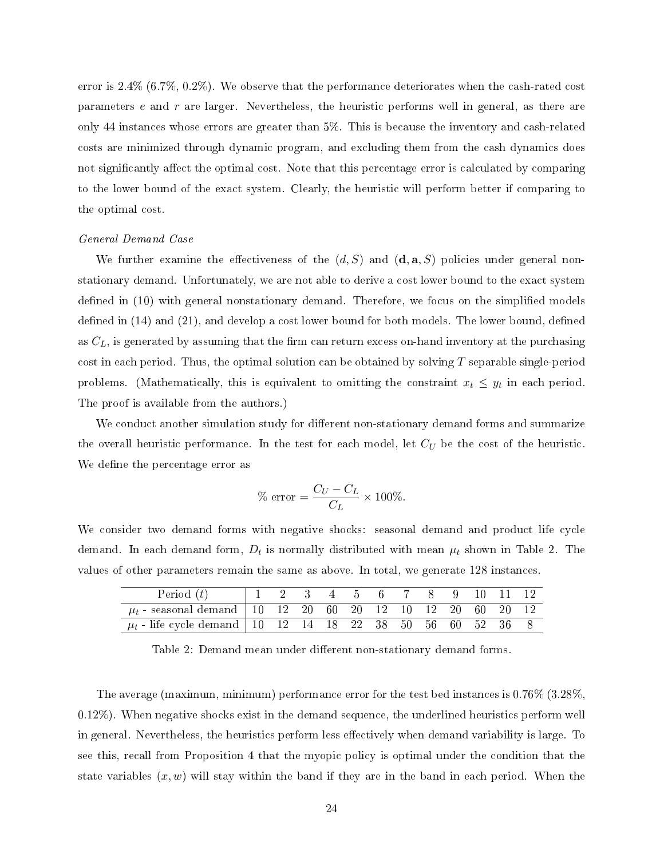error is 2.4% (6.7%, 0.2%). We observe that the performance deteriorates when the cash-rated cost parameters *e* and *r* are larger. Nevertheless, the heuristic performs well in general, as there are only 44 instances whose errors are greater than 5%. This is because the inventory and cash-related costs are minimized through dynamic program, and excluding them from the cash dynamics does not significantly affect the optimal cost. Note that this percentage error is calculated by comparing to the lower bound of the exact system. Clearly, the heuristic will perform better if comparing to the optimal cost.

#### General Demand Case

We further examine the effectiveness of the  $(d, S)$  and  $(\mathbf{d}, \mathbf{a}, S)$  policies under general nonstationary demand. Unfortunately, we are not able to derive a cost lower bound to the exact system defined in (10) with general nonstationary demand. Therefore, we focus on the simplified models defined in  $(14)$  and  $(21)$ , and develop a cost lower bound for both models. The lower bound, defined as  $C_L$ , is generated by assuming that the firm can return excess on-hand inventory at the purchasing cost in each period. Thus, the optimal solution can be obtained by solving *T* separable single-period problems. (Mathematically, this is equivalent to omitting the constraint  $x_t \leq y_t$  in each period. The proof is available from the authors.)

We conduct another simulation study for different non-stationary demand forms and summarize the overall heuristic performance. In the test for each model, let *C<sup>U</sup>* be the cost of the heuristic. We define the percentage error as

$$
\% \text{ error} = \frac{C_U - C_L}{C_L} \times 100\%.
$$

We consider two demand forms with negative shocks: seasonal demand and product life cycle demand. In each demand form,  $D_t$  is normally distributed with mean  $\mu_t$  shown in Table 2. The values of other parameters remain the same as above. In total, we generate 128 instances.

| Period $(t)$                                                     |  |  | 1 2 3 4 5 6 7 8 9 10 11 12 |  |  |  |
|------------------------------------------------------------------|--|--|----------------------------|--|--|--|
| $\mu_t$ -seasonal demand   10 12 20 60 20 12 10 12 20 60 20 12   |  |  |                            |  |  |  |
| $\mu_t$ - life cycle demand   10 12 14 18 22 38 50 56 60 52 36 8 |  |  |                            |  |  |  |

Table 2: Demand mean under different non-stationary demand forms.

The average (maximum, minimum) performance error for the test bed instances is 0.76% (3.28%, 0.12%). When negative shocks exist in the demand sequence, the underlined heuristics perform well in general. Nevertheless, the heuristics perform less effectively when demand variability is large. To see this, recall from Proposition 4 that the myopic policy is optimal under the condition that the state variables  $(x, w)$  will stay within the band if they are in the band in each period. When the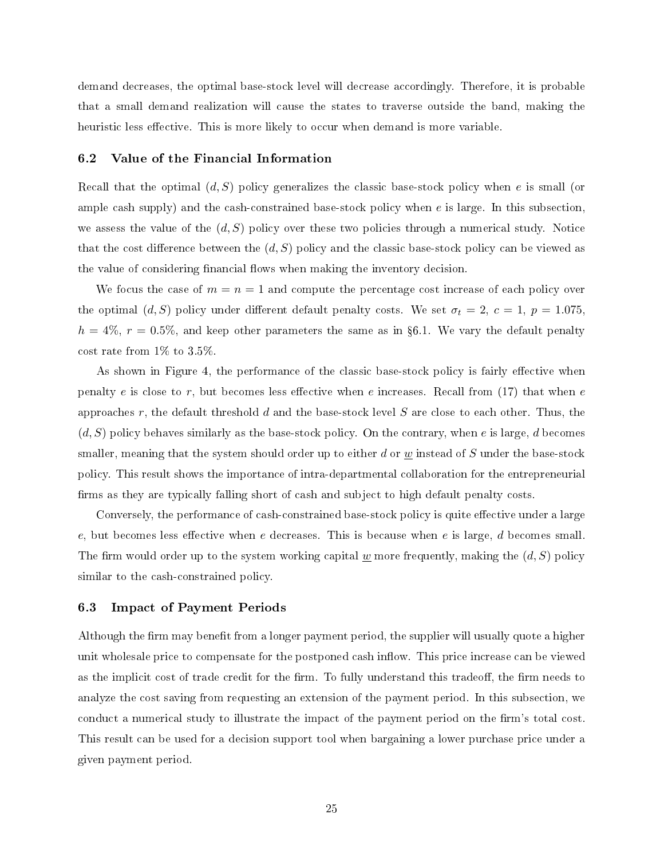demand decreases, the optimal base-stock level will decrease accordingly. Therefore, it is probable that a small demand realization will cause the states to traverse outside the band, making the heuristic less effective. This is more likely to occur when demand is more variable.

#### 6.2 Value of the Financial Information

Recall that the optimal (*d, S*) policy generalizes the classic base-stock policy when *e* is small (or ample cash supply) and the cash-constrained base-stock policy when *e* is large. In this subsection, we assess the value of the (*d, S*) policy over these two policies through a numerical study. Notice that the cost difference between the  $(d, S)$  policy and the classic base-stock policy can be viewed as the value of considering financial flows when making the inventory decision.

We focus the case of  $m = n = 1$  and compute the percentage cost increase of each policy over the optimal  $(d, S)$  policy under different default penalty costs. We set  $\sigma_t = 2$ ,  $c = 1$ ,  $p = 1.075$ ,  $h = 4\%, r = 0.5\%,$  and keep other parameters the same as in §6.1. We vary the default penalty cost rate from 1% to 3.5%.

As shown in Figure 4, the performance of the classic base-stock policy is fairly effective when penalty *e* is close to *r*, but becomes less effective when *e* increases. Recall from (17) that when *e* approaches *r*, the default threshold *d* and the base-stock level *S* are close to each other. Thus, the (*d, S*) policy behaves similarly as the base-stock policy. On the contrary, when *e* is large, *d* becomes smaller, meaning that the system should order up to either *d* or *w* instead of *S* under the base-stock policy. This result shows the importance of intra-departmental collaboration for the entrepreneurial firms as they are typically falling short of cash and subject to high default penalty costs.

Conversely, the performance of cash-constrained base-stock policy is quite effective under a large *e*, but becomes less effective when *e* decreases. This is because when *e* is large, *d* becomes small. The firm would order up to the system working capital  $w$  more frequently, making the  $(d, S)$  policy similar to the cash-constrained policy.

### 6.3 Impact of Payment Periods

Although the firm may benefit from a longer payment period, the supplier will usually quote a higher unit wholesale price to compensate for the postponed cash inflow. This price increase can be viewed as the implicit cost of trade credit for the firm. To fully understand this tradeoff, the firm needs to analyze the cost saving from requesting an extension of the payment period. In this subsection, we conduct a numerical study to illustrate the impact of the payment period on the firm's total cost. This result can be used for a decision support tool when bargaining a lower purchase price under a given payment period.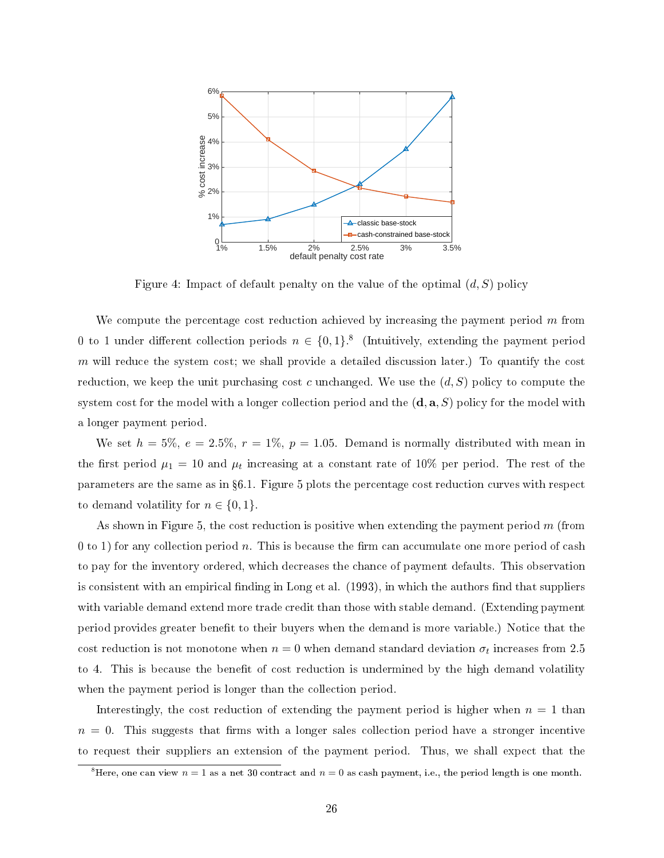

Figure 4: Impact of default penalty on the value of the optimal (*d, S*) policy

We compute the percentage cost reduction achieved by increasing the payment period *m* from 0 to 1 under different collection periods  $n \in \{0,1\}$ .<sup>8</sup> (Intuitively, extending the payment period *m* will reduce the system cost; we shall provide a detailed discussion later.) To quantify the cost reduction, we keep the unit purchasing cost *c* unchanged. We use the (*d, S*) policy to compute the system cost for the model with a longer collection period and the (**d***,* **a***, S*) policy for the model with a longer payment period.

We set  $h = 5\%$ ,  $e = 2.5\%$ ,  $r = 1\%$ ,  $p = 1.05$ . Demand is normally distributed with mean in the first period  $\mu_1 = 10$  and  $\mu_t$  increasing at a constant rate of 10% per period. The rest of the parameters are the same as in 6.1. Figure 5 plots the percentage cost reduction curves with respect to demand volatility for  $n \in \{0, 1\}$ .

As shown in Figure 5, the cost reduction is positive when extending the payment period *m* (from 0 to 1) for any collection period *n*. This is because the firm can accumulate one more period of cash to pay for the inventory ordered, which decreases the chance of payment defaults. This observation is consistent with an empirical finding in Long et al.  $(1993)$ , in which the authors find that suppliers with variable demand extend more trade credit than those with stable demand. (Extending payment period provides greater benefit to their buyers when the demand is more variable.) Notice that the cost reduction is not monotone when  $n = 0$  when demand standard deviation  $\sigma_t$  increases from 2.5 to 4. This is because the benefit of cost reduction is undermined by the high demand volatility when the payment period is longer than the collection period.

Interestingly, the cost reduction of extending the payment period is higher when  $n = 1$  than  $n = 0$ . This suggests that firms with a longer sales collection period have a stronger incentive to request their suppliers an extension of the payment period. Thus, we shall expect that the

<sup>&</sup>lt;sup>8</sup>Here, one can view  $n = 1$  as a net 30 contract and  $n = 0$  as cash payment, i.e., the period length is one month.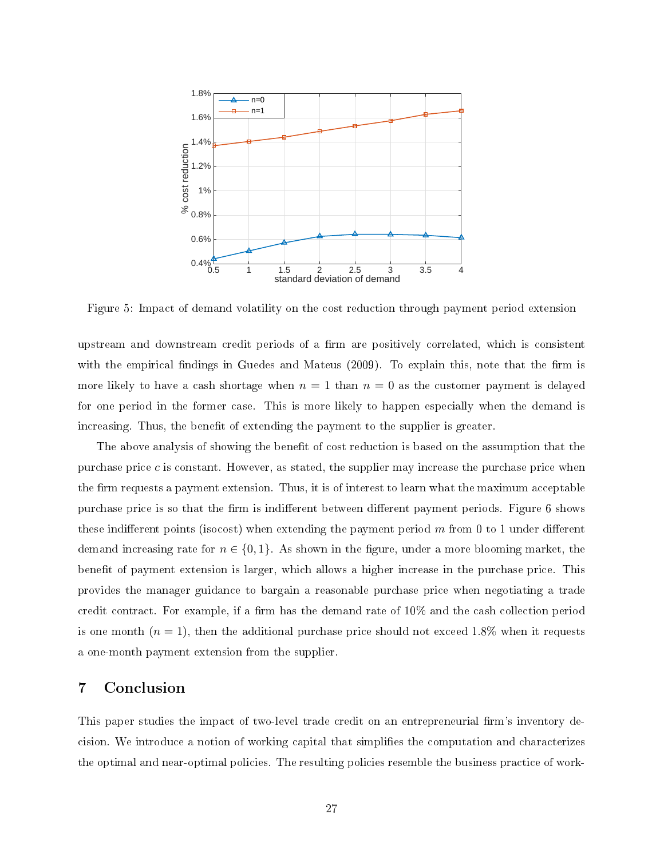

Figure 5: Impact of demand volatility on the cost reduction through payment period extension

upstream and downstream credit periods of a firm are positively correlated, which is consistent with the empirical findings in Guedes and Mateus  $(2009)$ . To explain this, note that the firm is more likely to have a cash shortage when  $n = 1$  than  $n = 0$  as the customer payment is delayed for one period in the former case. This is more likely to happen especially when the demand is increasing. Thus, the benefit of extending the payment to the supplier is greater.

The above analysis of showing the benefit of cost reduction is based on the assumption that the purchase price  $c$  is constant. However, as stated, the supplier may increase the purchase price when the firm requests a payment extension. Thus, it is of interest to learn what the maximum acceptable purchase price is so that the firm is indifferent between different payment periods. Figure 6 shows these indifferent points (isocost) when extending the payment period  $m$  from 0 to 1 under different demand increasing rate for  $n \in \{0,1\}$ . As shown in the figure, under a more blooming market, the benefit of payment extension is larger, which allows a higher increase in the purchase price. This provides the manager guidance to bargain a reasonable purchase price when negotiating a trade credit contract. For example, if a firm has the demand rate of  $10\%$  and the cash collection period is one month  $(n = 1)$ , then the additional purchase price should not exceed 1.8% when it requests a one-month payment extension from the supplier.

### 7 Conclusion

This paper studies the impact of two-level trade credit on an entrepreneurial firm's inventory decision. We introduce a notion of working capital that simplies the computation and characterizes the optimal and near-optimal policies. The resulting policies resemble the business practice of work-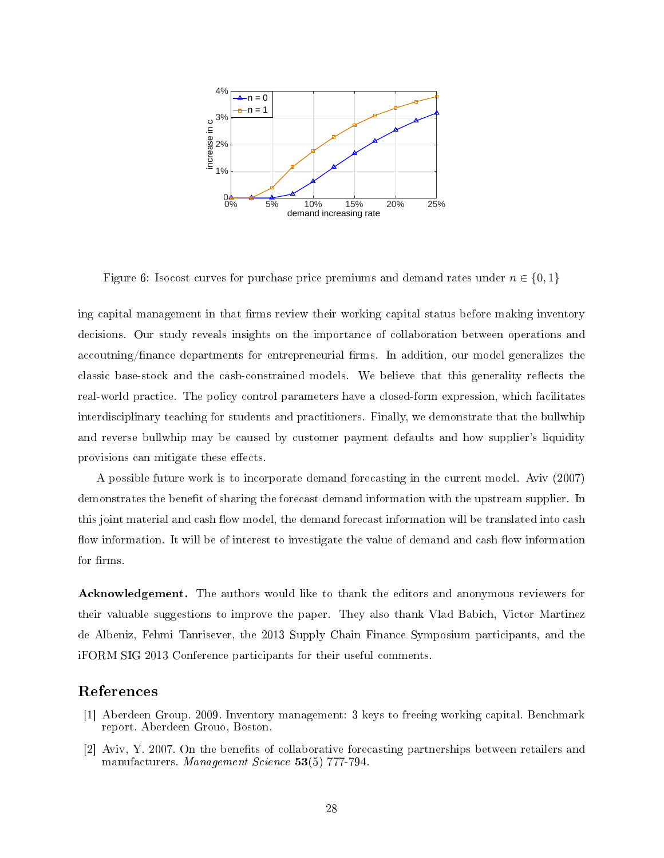

Figure 6: Isocost curves for purchase price premiums and demand rates under  $n \in \{0,1\}$ 

ing capital management in that firms review their working capital status before making inventory decisions. Our study reveals insights on the importance of collaboration between operations and accoutning/finance departments for entrepreneurial firms. In addition, our model generalizes the classic base-stock and the cash-constrained models. We believe that this generality reflects the real-world practice. The policy control parameters have a closed-form expression, which facilitates interdisciplinary teaching for students and practitioners. Finally, we demonstrate that the bullwhip and reverse bullwhip may be caused by customer payment defaults and how supplier's liquidity provisions can mitigate these effects.

A possible future work is to incorporate demand forecasting in the current model. Aviv (2007) demonstrates the benefit of sharing the forecast demand information with the upstream supplier. In this joint material and cash flow model, the demand forecast information will be translated into cash flow information. It will be of interest to investigate the value of demand and cash flow information for firms.

Acknowledgement. The authors would like to thank the editors and anonymous reviewers for their valuable suggestions to improve the paper. They also thank Vlad Babich, Victor Martinez de Albeniz, Fehmi Tanrisever, the 2013 Supply Chain Finance Symposium participants, and the iFORM SIG 2013 Conference participants for their useful comments.

## References

- [1] Aberdeen Group. 2009. Inventory management: 3 keys to freeing working capital. Benchmark report. Aberdeen Grouo, Boston.
- [2] Aviv, Y. 2007. On the benefits of collaborative forecasting partnerships between retailers and manufacturers. Management Science 53(5) 777-794.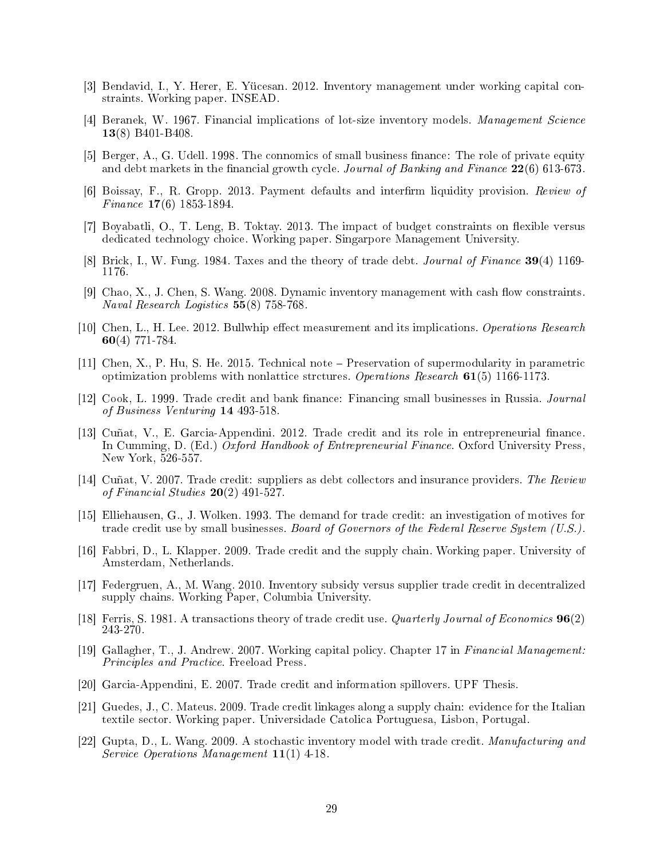- [3] Bendavid, I., Y. Herer, E. Yücesan. 2012. Inventory management under working capital constraints. Working paper. INSEAD.
- [4] Beranek, W. 1967. Financial implications of lot-size inventory models. Management Science 13(8) B401-B408.
- [5] Berger, A., G. Udell. 1998. The connomics of small business finance: The role of private equity and debt markets in the financial growth cycle. Journal of Banking and Finance  $22(6)$  613-673.
- [6] Boissay, F., R. Gropp. 2013. Payment defaults and interrm liquidity provision. Review of Finance 17(6) 1853-1894.
- [7] Boyabatli, O., T. Leng, B. Toktay. 2013. The impact of budget constraints on flexible versus dedicated technology choice. Working paper. Singarpore Management University.
- [8] Brick, I., W. Fung. 1984. Taxes and the theory of trade debt. Journal of Finance 39(4) 1169- 1176.
- [9] Chao, X., J. Chen, S. Wang. 2008. Dynamic inventory management with cash flow constraints. Naval Research Logistics 55(8) 758-768.
- [10] Chen, L., H. Lee. 2012. Bullwhip effect measurement and its implications. Operations Research 60(4) 771-784.
- [11] Chen, X., P. Hu, S. He. 2015. Technical note Preservation of supermodularity in parametric optimization problems with nonlattice strctures. Operations Research 61(5) 1166-1173.
- [12] Cook, L. 1999. Trade credit and bank finance: Financing small businesses in Russia. Journal of Business Venturing 14 493-518.
- [13] Cuñat, V., E. Garcia-Appendini. 2012. Trade credit and its role in entrepreneurial finance. In Cumming, D. (Ed.) Oxford Handbook of Entrepreneurial Finance. Oxford University Press. New York, 526-557.
- [14] Cuñat, V. 2007. Trade credit: suppliers as debt collectors and insurance providers. The Review of Financial Studies 20(2) 491-527.
- [15] Elliehausen, G., J. Wolken. 1993. The demand for trade credit: an investigation of motives for trade credit use by small businesses. Board of Governors of the Federal Reserve System (U.S.).
- [16] Fabbri, D., L. Klapper. 2009. Trade credit and the supply chain. Working paper. University of Amsterdam, Netherlands.
- [17] Federgruen, A., M. Wang. 2010. Inventory subsidy versus supplier trade credit in decentralized supply chains. Working Paper, Columbia University.
- [18] Ferris, S. 1981. A transactions theory of trade credit use. Quarterly Journal of Economics 96(2) 243-270.
- [19] Gallagher, T., J. Andrew. 2007. Working capital policy. Chapter 17 in Financial Management: Principles and Practice. Freeload Press.
- [20] Garcia-Appendini, E. 2007. Trade credit and information spillovers. UPF Thesis.
- [21] Guedes, J., C. Mateus. 2009. Trade credit linkages along a supply chain: evidence for the Italian textile sector. Working paper. Universidade Catolica Portuguesa, Lisbon, Portugal.
- [22] Gupta, D., L. Wang. 2009. A stochastic inventory model with trade credit. Manufacturing and Service Operations Management 11(1) 4-18.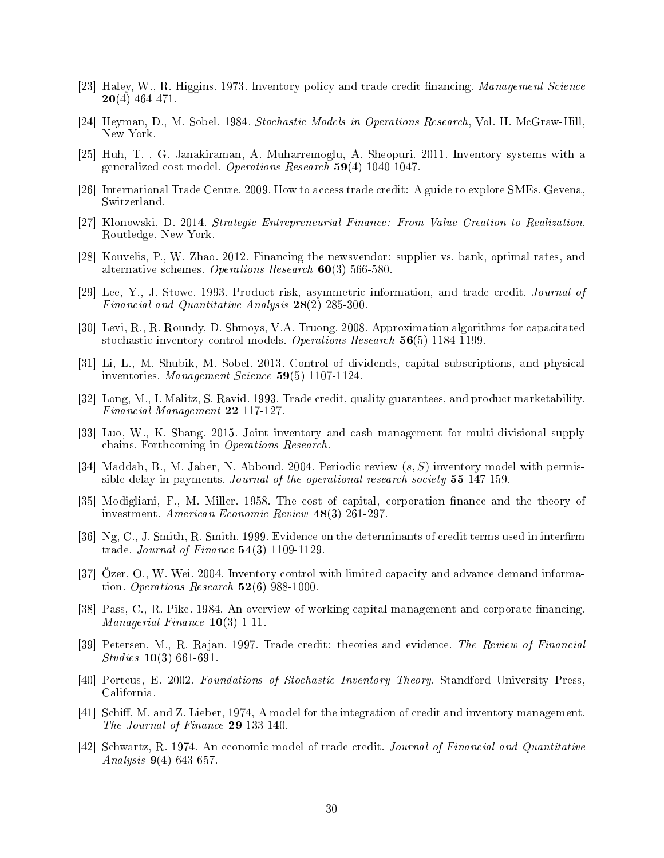- [23] Haley, W., R. Higgins. 1973. Inventory policy and trade credit financing. Management Science  $20(4)$  464-471.
- [24] Heyman, D., M. Sobel. 1984. Stochastic Models in Operations Research, Vol. II. McGraw-Hill, New York.
- [25] Huh, T. , G. Janakiraman, A. Muharremoglu, A. Sheopuri. 2011. Inventory systems with a generalized cost model. Operations Research 59(4) 1040-1047.
- [26] International Trade Centre. 2009. How to access trade credit: A guide to explore SMEs. Gevena, Switzerland.
- [27] Klonowski, D. 2014. Strategic Entrepreneurial Finance: From Value Creation to Realization, Routledge, New York.
- [28] Kouvelis, P., W. Zhao. 2012. Financing the newsvendor: supplier vs. bank, optimal rates, and alternative schemes. Operations Research 60(3) 566-580.
- [29] Lee, Y., J. Stowe. 1993. Product risk, asymmetric information, and trade credit. Journal of Financial and Quantitative Analysis 28(2) 285-300.
- [30] Levi, R., R. Roundy, D. Shmoys, V.A. Truong. 2008. Approximation algorithms for capacitated stochastic inventory control models. Operations Research 56(5) 1184-1199.
- [31] Li, L., M. Shubik, M. Sobel. 2013. Control of dividends, capital subscriptions, and physical inventories. Management Science 59(5) 1107-1124.
- [32] Long, M., I. Malitz, S. Ravid. 1993. Trade credit, quality guarantees, and product marketability. Financial Management 22 117-127.
- [33] Luo, W., K. Shang. 2015. Joint inventory and cash management for multi-divisional supply chains. Forthcoming in Operations Research.
- [34] Maddah, B., M. Jaber, N. Abboud. 2004. Periodic review (*s, S*) inventory model with permissible delay in payments. Journal of the operational research society **55** 147-159.
- [35] Modigliani, F., M. Miller. 1958. The cost of capital, corporation finance and the theory of investment. American Economic Review 48(3) 261-297.
- [36] Ng, C., J. Smith, R. Smith. 1999. Evidence on the determinants of credit terms used in interfirm trade. Journal of Finance 54(3) 1109-1129.
- [37] Özer, O., W. Wei. 2004. Inventory control with limited capacity and advance demand information. Operations Research  $52(6)$  988-1000.
- [38] Pass, C., R. Pike. 1984. An overview of working capital management and corporate financing. Managerial Finance 10(3) 1-11.
- [39] Petersen, M., R. Rajan. 1997. Trade credit: theories and evidence. The Review of Financial Studies 10(3) 661-691.
- [40] Porteus, E. 2002. Foundations of Stochastic Inventory Theory. Standford University Press, California.
- [41] Schiff, M. and Z. Lieber, 1974, A model for the integration of credit and inventory management. The Journal of Finance 29 133-140.
- [42] Schwartz, R. 1974. An economic model of trade credit. Journal of Financial and Quantitative *Analysis* **9**(4) 643-657.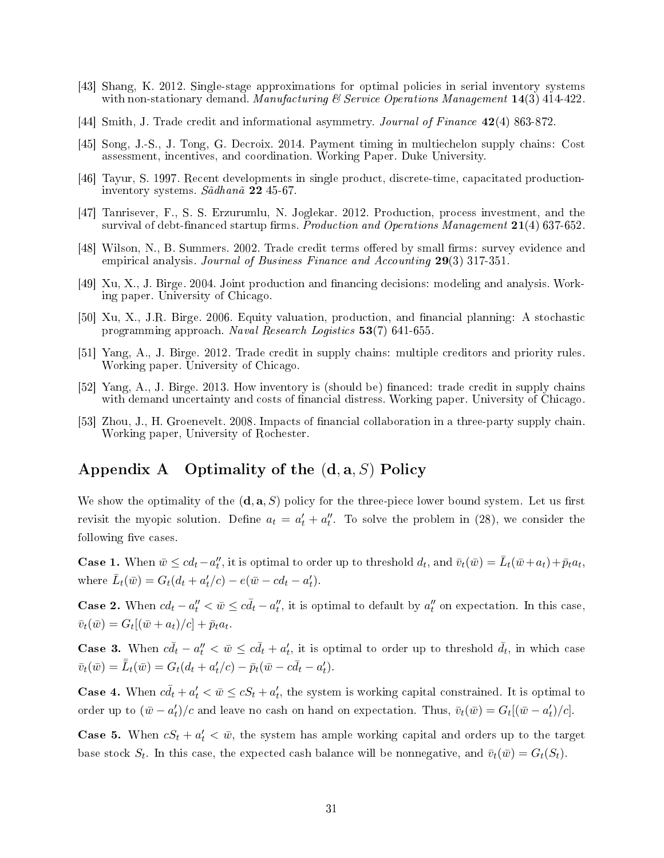- [43] Shang, K. 2012. Single-stage approximations for optimal policies in serial inventory systems with non-stationary demand. Manufacturing  $\mathcal C$  Service Operations Manugement 14(3) 414-422.
- [44] Smith, J. Trade credit and informational asymmetry. Journal of Finance 42(4) 863-872.
- [45] Song, J.-S., J. Tong, G. Decroix. 2014. Payment timing in multiechelon supply chains: Cost assessment, incentives, and coordination. Working Paper. Duke University.
- [46] Tayur, S. 1997. Recent developments in single product, discrete-time, capacitated productioninventory systems. Sãdhanã 22 45-67.
- [47] Tanrisever, F., S. S. Erzurumlu, N. Joglekar. 2012. Production, process investment, and the survival of debt-financed startup firms. *Production and Operations Management*  $21(4)$  637-652.
- [48] Wilson, N., B. Summers. 2002. Trade credit terms offered by small firms: survey evidence and empirical analysis. Journal of Business Finance and Accounting 29(3) 317-351.
- [49] Xu, X., J. Birge. 2004. Joint production and nancing decisions: modeling and analysis. Working paper. University of Chicago.
- [50] Xu, X., J.R. Birge. 2006. Equity valuation, production, and nancial planning: A stochastic programming approach. Naval Research Logistics 53(7) 641-655.
- [51] Yang, A., J. Birge. 2012. Trade credit in supply chains: multiple creditors and priority rules. Working paper. University of Chicago.
- [52] Yang, A., J. Birge. 2013. How inventory is (should be) financed: trade credit in supply chains with demand uncertainty and costs of financial distress. Working paper. University of Chicago.
- [53] Zhou, J., H. Groenevelt. 2008. Impacts of nancial collaboration in a three-party supply chain. Working paper, University of Rochester.

# Appendix A Optimality of the (**d***,* **a***, S*) Policy

We show the optimality of the  $(\mathbf{d}, \mathbf{a}, S)$  policy for the three-piece lower bound system. Let us first revisit the myopic solution. Define  $a_t = a'_t + a''_t$ . To solve the problem in (28), we consider the following five cases.

**Case 1.** When  $\bar{w} \leq cd_t - a''_t$ , it is optimal to order up to threshold  $d_t$ , and  $\bar{v}_t(\bar{w}) = \bar{L}_t(\bar{w} + a_t) + \bar{p}_t a_t$ , where  $\bar{L}_t(\bar{w}) = G_t(d_t + a'_t/c) - e(\bar{w} - cd_t - a'_t)$ .

**Case 2.** When  $cd_t - a''_t < \bar{w} \leq c\bar{d}_t - a''_t$ , it is optimal to default by  $a''_t$  on expectation. In this case,  $\bar{v}_t(\bar{w}) = G_t[(\bar{w} + a_t)/c] + \bar{p}_t a_t.$ 

**Case 3.** When  $c\bar{d}_t - a''_t < \bar{w} \leq c\bar{d}_t + a'_t$ , it is optimal to order up to threshold  $\bar{d}_t$ , in which case  $\bar{v}_t(\bar{w}) = \bar{\bar{L}}_t(\bar{w}) = G_t(d_t + a'_t/c) - \bar{p}_t(\bar{w} - c\bar{d}_t - a'_t).$ 

**Case 4.** When  $c\bar{d}_t + a'_t < \bar{w} \leq cS_t + a'_t$ , the system is working capital constrained. It is optimal to order up to  $(\bar{w} - a'_t)/c$  and leave no cash on hand on expectation. Thus,  $\bar{v}_t(\bar{w}) = G_t[(\bar{w} - a'_t)/c]$ .

**Case 5.** When  $cS_t + a'_t < \bar{w}$ , the system has ample working capital and orders up to the target base stock  $S_t$ . In this case, the expected cash balance will be nonnegative, and  $\bar{v}_t(\bar{w}) = G_t(S_t)$ .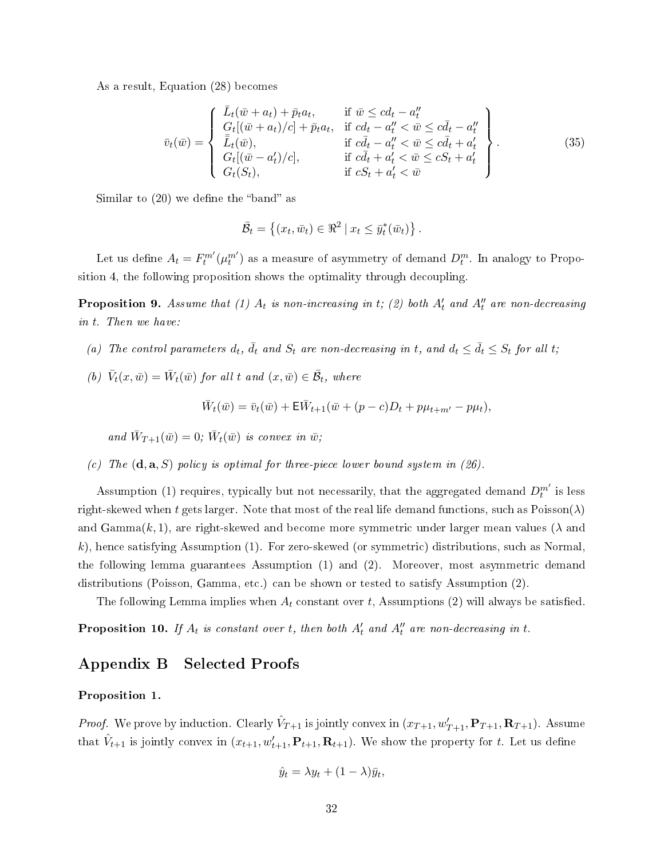As a result, Equation (28) becomes

$$
\bar{v}_{t}(\bar{w}) = \begin{cases}\n\bar{L}_{t}(\bar{w} + a_{t}) + \bar{p}_{t}a_{t}, & \text{if } \bar{w} \leq c d_{t} - a_{t}'' \\
G_{t}[(\bar{w} + a_{t})/c] + \bar{p}_{t}a_{t}, & \text{if } c d_{t} - a_{t}'' < \bar{w} \leq c \bar{d}_{t} - a_{t}'' \\
\bar{L}_{t}(\bar{w}), & \text{if } c \bar{d}_{t} - a_{t}'' < \bar{w} \leq c \bar{d}_{t} + a_{t}' \\
G_{t}[(\bar{w} - a_{t}')/c], & \text{if } c \bar{d}_{t} + a_{t}' < \bar{w} \leq c S_{t} + a_{t}' \\
G_{t}(S_{t}), & \text{if } c S_{t} + a_{t}' < \bar{w}\n\end{cases}
$$
\n(35)

Similar to  $(20)$  we define the "band" as

$$
\overline{\mathcal{B}}_t = \left\{ (x_t, \overline{w}_t) \in \Re^2 \mid x_t \leq \overline{y}_t^*(\overline{w}_t) \right\}.
$$

Let us define  $A_t = F_t^{m'}(\mu_t^{m'})$  as a measure of asymmetry of demand  $D_t^m$ . In analogy to Proposition 4, the following proposition shows the optimality through decoupling.

**Proposition 9.** Assume that (1)  $A_t$  is non-increasing in t; (2) both  $A'_t$  and  $A''_t$  are non-decreasing in *t*. Then we have:

- (a) The control parameters  $d_t$ ,  $\bar{d_t}$  and  $S_t$  are non-decreasing in *t*, and  $d_t \leq \bar{d_t} \leq S_t$  for all *t*;
- (b)  $\bar{V}_t(x,\bar{w}) = \bar{W}_t(\bar{w})$  for all t and  $(x,\bar{w}) \in \bar{\mathcal{B}}_t$ , where

$$
\bar{W}_t(\bar{w}) = \bar{v}_t(\bar{w}) + \mathsf{E}\bar{W}_{t+1}(\bar{w} + (p-c)D_t + p\mu_{t+m'} - p\mu_t),
$$

and  $\bar{W}_{T+1}(\bar{w}) = 0$ ;  $\bar{W}_t(\bar{w})$  is convex in  $\bar{w}$ ;

(c) The  $(\mathbf{d}, \mathbf{a}, S)$  policy is optimal for three-piece lower bound system in  $(26)$ .

Assumption (1) requires, typically but not necessarily, that the aggregated demand  $D_t^{m'}$  is less right-skewed when *t* gets larger. Note that most of the real life demand functions, such as  $Poisson(\lambda)$ and Gamma(*k,* 1), are right-skewed and become more symmetric under larger mean values (*λ* and *k*), hence satisfying Assumption (1). For zero-skewed (or symmetric) distributions, such as Normal, the following lemma guarantees Assumption (1) and (2). Moreover, most asymmetric demand distributions (Poisson, Gamma, etc.) can be shown or tested to satisfy Assumption (2).

The following Lemma implies when  $A_t$  constant over  $t$ , Assumptions (2) will always be satisfied.

**Proposition 10.** If  $A_t$  is constant over  $t$ , then both  $A'_t$  and  $A''_t$  are non-decreasing in  $t$ .

### Appendix B Selected Proofs

### Proposition 1.

*Proof.* We prove by induction. Clearly  $\hat{V}_{T+1}$  is jointly convex in  $(x_{T+1}, w'_{T+1}, \mathbf{P}_{T+1}, \mathbf{R}_{T+1})$ . Assume that  $\hat{V}_{t+1}$  is jointly convex in  $(x_{t+1}, w'_{t+1}, \mathbf{P}_{t+1}, \mathbf{R}_{t+1})$ . We show the property for *t*. Let us define

$$
\hat{y}_t = \lambda y_t + (1 - \lambda)\bar{y}_t,
$$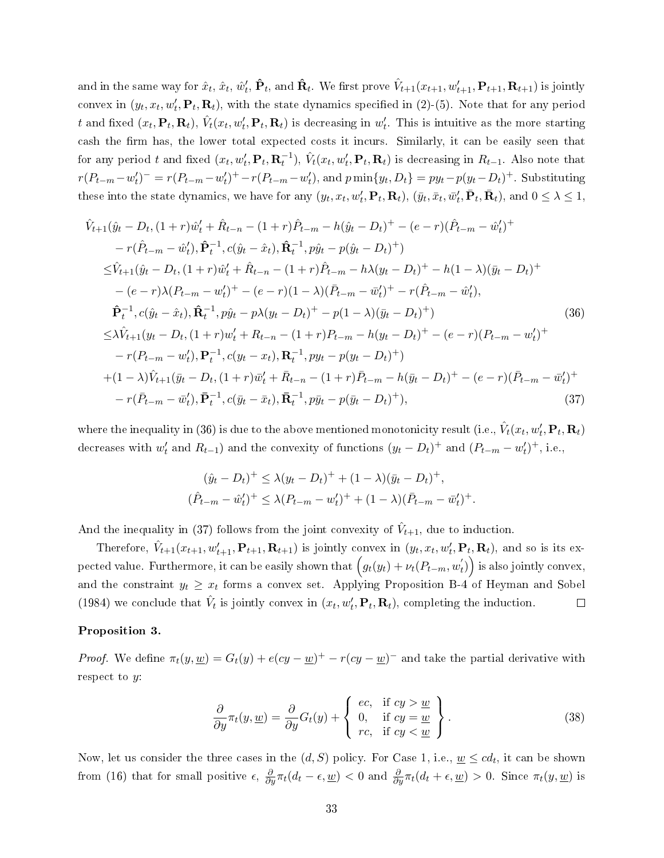and in the same way for  $\hat{x}_t,$   $\hat{x}_t,$   $\hat{w}'_t,$   $\mathbf{\hat{P}}_t$ , and  $\mathbf{\hat{R}}_t$ . We first prove  $\hat{V}_{t+1}(x_{t+1}, w'_{t+1}, \mathbf{P}_{t+1}, \mathbf{R}_{t+1})$  is jointly convex in  $(y_t, x_t, w'_t, \mathbf{P}_t, \mathbf{R}_t)$ , with the state dynamics specified in (2)-(5). Note that for any period t and fixed  $(x_t, \mathbf{P}_t, \mathbf{R}_t), \,\hat{V}_t(x_t, w_t', \mathbf{P}_t, \mathbf{R}_t)$  is decreasing in  $w_t'$ . This is intuitive as the more starting cash the firm has, the lower total expected costs it incurs. Similarly, it can be easily seen that for any period t and fixed  $(x_t, w'_t, \mathbf{P}_t, \mathbf{R}_t^{-1}), \hat{V}_t(x_t, w'_t, \mathbf{P}_t, \mathbf{R}_t)$  is decreasing in  $R_{t-1}$ . Also note that  $r(P_{t-m} - w'_t)^{-} = r(P_{t-m} - w'_t)^{+} - r(P_{t-m} - w'_t)$ , and  $p \min\{y_t, D_t\} = py_t - p(y_t - D_t)^{+}$ . Substituting these into the state dynamics, we have for any  $(y_t, x_t, w'_t, \mathbf{P}_t, \mathbf{R}_t)$ ,  $(\bar{y}_t, \bar{x}_t, \bar{w}'_t, \bar{\mathbf{P}}_t, \bar{\mathbf{R}}_t)$ , and  $0 \leq \lambda \leq 1$ ,

$$
\hat{V}_{t+1}(\hat{y}_t - D_t, (1+r)\hat{w}'_t + \hat{R}_{t-n} - (1+r)\hat{P}_{t-m} - h(\hat{y}_t - D_t)^+ - (e-r)(\hat{P}_{t-m} - \hat{w}'_t)^+ \n- r(\hat{P}_{t-m} - \hat{w}'_t), \hat{\mathbf{P}}_t^{-1}, c(\hat{y}_t - \hat{x}_t), \hat{\mathbf{R}}_t^{-1}, p\hat{y}_t - p(\hat{y}_t - D_t)^+ ) \n\leq \hat{V}_{t+1}(\hat{y}_t - D_t, (1+r)\hat{w}'_t + \hat{R}_{t-n} - (1+r)\hat{P}_{t-m} - h\lambda(y_t - D_t)^+ - h(1-\lambda)(\bar{y}_t - D_t)^+ \n- (e-r)\lambda(P_{t-m} - w'_t)^+ - (e-r)(1-\lambda)(\bar{P}_{t-m} - \bar{w}'_t)^+ - r(\hat{P}_{t-m} - \hat{w}'_t), \n\hat{\mathbf{P}}_t^{-1}, c(\hat{y}_t - \hat{x}_t), \hat{\mathbf{R}}_t^{-1}, p\hat{y}_t - p\lambda(y_t - D_t)^+ - p(1-\lambda)(\bar{y}_t - D_t)^+ ) \n\leq \lambda \hat{V}_{t+1}(y_t - D_t, (1+r)\hat{w}'_t + R_{t-n} - (1+r)P_{t-m} - h(y_t - D_t)^+ - (e-r)(P_{t-m} - w'_t)^+ \n- r(P_{t-m} - w'_t), \mathbf{P}_t^{-1}, c(y_t - x_t), \mathbf{R}_t^{-1}, py_t - p(y_t - D_t)^+ ) \n+ (1-\lambda)\hat{V}_{t+1}(\bar{y}_t - D_t, (1+r)\bar{w}'_t + \bar{R}_{t-n} - (1+r)\bar{P}_{t-m} - h(\bar{y}_t - D_t)^+ - (e-r)(\bar{P}_{t-m} - \bar{w}'_t)^+ \n- r(\bar{P}_{t-m} - \bar{w}'_t), \bar{\mathbf{P}}_t^{-1}, c(\bar{y}_t - \bar{x}_t), \bar{\mathbf{R}}_t^{-1}, p\bar{y}_t - p(\bar{y}_t - D_t)^+ ),
$$
\n(37)

where the inequality in (36) is due to the above mentioned monotonicity result (i.e.,  $\hat{V}_t(x_t, w'_t, \mathbf{P}_t, \mathbf{R}_t)$ decreases with  $w'_t$  and  $R_{t-1}$ ) and the convexity of functions  $(y_t - D_t)^+$  and  $(P_{t-m} - w'_t)^+$ , i.e.,

$$
(\hat{y}_t - D_t)^+ \le \lambda (y_t - D_t)^+ + (1 - \lambda)(\bar{y}_t - D_t)^+,
$$
  

$$
(\hat{P}_{t-m} - \hat{w}'_t)^+ \le \lambda (P_{t-m} - w'_t)^+ + (1 - \lambda)(\bar{P}_{t-m} - \bar{w}'_t)^+.
$$

And the inequality in (37) follows from the joint convexity of  $\hat{V}_{t+1}$ , due to induction.

Therefore,  $\hat{V}_{t+1}(x_{t+1}, w'_{t+1}, \mathbf{P}_{t+1}, \mathbf{R}_{t+1})$  is jointly convex in  $(y_t, x_t, w'_t, \mathbf{P}_t, \mathbf{R}_t)$ , and so is its expected value. Furthermore, it can be easily shown that  $\Big(g_t(y_t)+\nu_t(P_{t-m},w^{'}_t)\Big)$  is also jointly convex, and the constraint  $y_t \geq x_t$  forms a convex set. Applying Proposition B-4 of Heyman and Sobel (1984) we conclude that  $\hat{V}_t$  is jointly convex in  $(x_t, w'_t, \mathbf{P}_t, \mathbf{R}_t)$ , completing the induction.  $\Box$ 

#### Proposition 3.

*Proof.* We define  $\pi_t(y, \underline{w}) = G_t(y) + e(cy - \underline{w})^+ - r(cy - \underline{w})^-$  and take the partial derivative with respect to *y*:

$$
\frac{\partial}{\partial y}\pi_t(y,\underline{w}) = \frac{\partial}{\partial y}G_t(y) + \begin{cases} ec, & \text{if } cy > \underline{w} \\ 0, & \text{if } cy = \underline{w} \\ rc, & \text{if } cy < \underline{w} \end{cases}.
$$
\n(38)

Now, let us consider the three cases in the  $(d, S)$  policy. For Case 1, i.e.,  $\underline{w} \leq c d_t,$  it can be shown from (16) that for small positive  $\epsilon$ ,  $\frac{\partial}{\partial y}\pi_t(d_t - \epsilon, \underline{w}) < 0$  and  $\frac{\partial}{\partial y}\pi_t(d_t + \epsilon, \underline{w}) > 0$ . Since  $\pi_t(y, \underline{w})$  is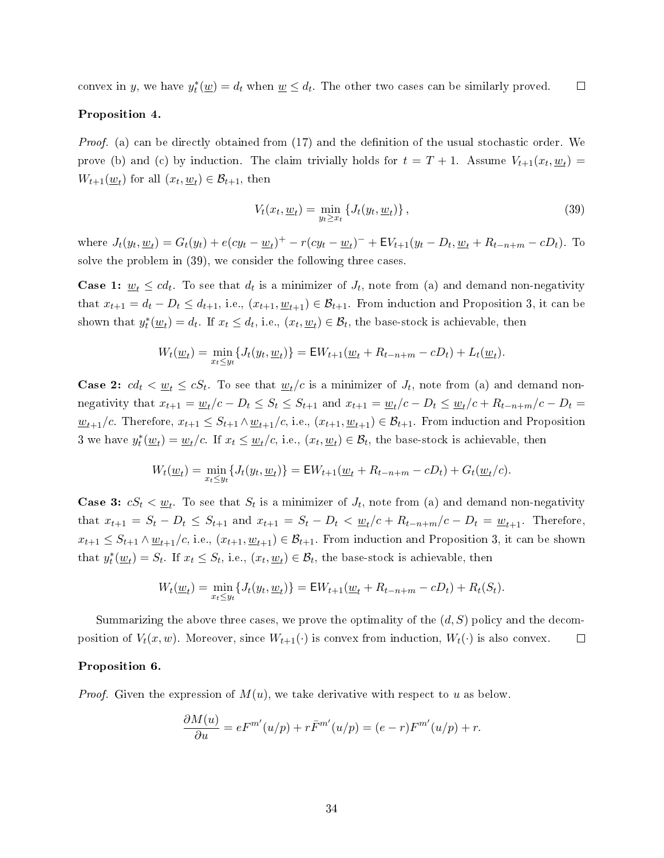$\Box$ convex in *y*, we have  $y_t^*(\underline{w}) = d_t$  when  $\underline{w} \leq d_t$ . The other two cases can be similarly proved.

### Proposition 4.

*Proof.* (a) can be directly obtained from  $(17)$  and the definition of the usual stochastic order. We prove (b) and (c) by induction. The claim trivially holds for  $t = T + 1$ . Assume  $V_{t+1}(x_t, \underline{w}_t)$  $W_{t+1}(\underline{w}_t)$  for all  $(x_t, \underline{w}_t) \in \mathcal{B}_{t+1}$ , then

$$
V_t(x_t, \underline{w}_t) = \min_{y_t \ge x_t} \left\{ J_t(y_t, \underline{w}_t) \right\},\tag{39}
$$

where  $J_t(y_t, \underline{w}_t) = G_t(y_t) + e(cy_t - \underline{w}_t)^+ - r(cy_t - \underline{w}_t)^- + \mathsf{E}V_{t+1}(y_t - D_t, \underline{w}_t + R_{t-n+m} - cD_t)$ . To solve the problem in (39), we consider the following three cases.

**Case 1:**  $\underline{w}_t \leq c d_t$ . To see that  $d_t$  is a minimizer of  $J_t$ , note from (a) and demand non-negativity that  $x_{t+1} = d_t - D_t \leq d_{t+1}$ , i.e.,  $(x_{t+1}, \underline{w}_{t+1}) \in \mathcal{B}_{t+1}$ . From induction and Proposition 3, it can be shown that  $y_t^*(\underline{w}_t) = d_t$ . If  $x_t \leq d_t$ , i.e.,  $(x_t, \underline{w}_t) \in \mathcal{B}_t$ , the base-stock is achievable, then

$$
W_t(\underline{w}_t) = \min_{x_t \le y_t} \{ J_t(y_t, \underline{w}_t) \} = \mathsf{E} W_{t+1}(\underline{w}_t + R_{t-n+m} - cD_t) + L_t(\underline{w}_t).
$$

**Case 2:**  $cd_t \leq w_t \leq cS_t$ . To see that  $w_t/c$  is a minimizer of  $J_t$ , note from (a) and demand nonnegativity that  $x_{t+1} = \underline{w}_t/c - D_t \leq S_t \leq S_{t+1}$  and  $x_{t+1} = \underline{w}_t/c - D_t \leq \underline{w}_t/c + R_{t-n+m}/c - D_t =$ *w*<sub>*t*+1</sub>/c. Therefore,  $x_{t+1}$  ≤  $S_{t+1}$  ∧  $w_{t+1}$ /c, i.e.,  $(x_{t+1}, w_{t+1})$  ∈  $\mathcal{B}_{t+1}$ . From induction and Proposition 3 we have  $y_t^*(\underline{w}_t) = \underline{w}_t/c$ . If  $x_t \leq \underline{w}_t/c$ , i.e.,  $(x_t, \underline{w}_t) \in \mathcal{B}_t$ , the base-stock is achievable, then

$$
W_t(\underline{w}_t) = \min_{x_t \le y_t} \{ J_t(y_t, \underline{w}_t) \} = \mathsf{E} W_{t+1}(\underline{w}_t + R_{t-n+m} - cD_t) + G_t(\underline{w}_t/c).
$$

**Case 3:**  $cS_t < \underline{w}_t$ . To see that  $S_t$  is a minimizer of  $J_t$ , note from (a) and demand non-negativity that  $x_{t+1} = S_t - D_t \leq S_{t+1}$  and  $x_{t+1} = S_t - D_t < \underline{w}_t/c + R_{t-n+m}/c - D_t = \underline{w}_{t+1}$ . Therefore,  $x_{t+1} \leq S_{t+1} \wedge \underline{w}_{t+1}/c$ , i.e.,  $(x_{t+1}, \underline{w}_{t+1}) \in \mathcal{B}_{t+1}$ . From induction and Proposition 3, it can be shown that  $y_t^*(\underline{w}_t) = S_t$ . If  $x_t \leq S_t$ , i.e.,  $(x_t, \underline{w}_t) \in \mathcal{B}_t$ , the base-stock is achievable, then

$$
W_t(\underline{w}_t) = \min_{x_t \le y_t} \{ J_t(y_t, \underline{w}_t) \} = \mathsf{E} W_{t+1}(\underline{w}_t + R_{t-n+m} - cD_t) + R_t(S_t).
$$

Summarizing the above three cases, we prove the optimality of the (*d, S*) policy and the decomposition of  $V_t(x, w)$ . Moreover, since  $W_{t+1}(\cdot)$  is convex from induction,  $W_t(\cdot)$  is also convex.  $\Box$ 

### Proposition 6.

*Proof.* Given the expression of  $M(u)$ , we take derivative with respect to u as below.

$$
\frac{\partial M(u)}{\partial u} = eF^{m'}(u/p) + r\overline{F}^{m'}(u/p) = (e-r)F^{m'}(u/p) + r.
$$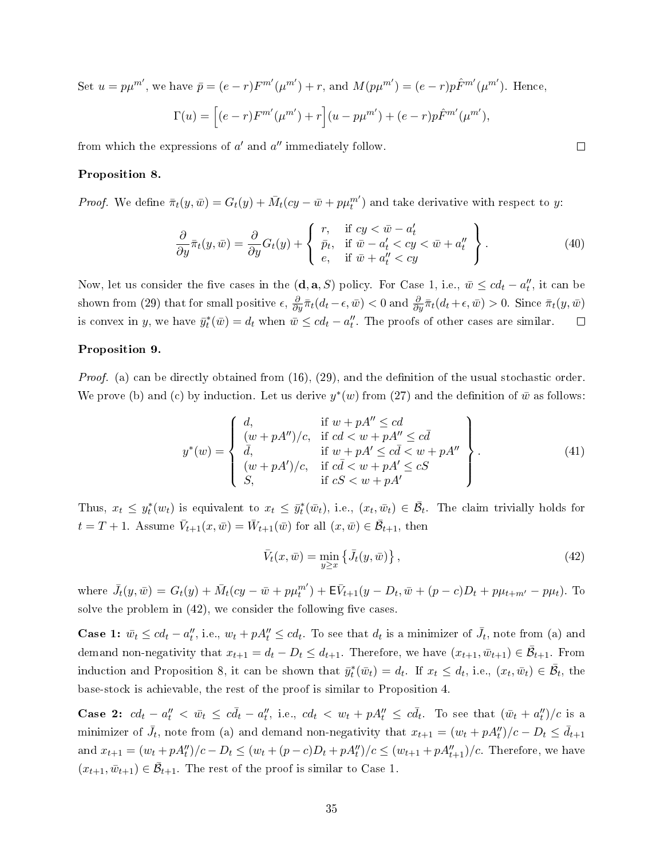Set  $u = p\mu^{m'}$ , we have  $\bar{p} = (e - r)F^{m'}(\mu^{m'}) + r$ , and  $M(p\mu^{m'}) = (e - r)p\hat{F}^{m'}(\mu^{m'})$ . Hence,  $\Gamma(u) = \left[ (e-r) F^{m'}(\mu^{m'}) + r \right] (u - p \mu^{m'}) + (e-r) p \hat{F}^{m'}(\mu^{m'}),$ 

from which the expressions of  $a'$  and  $a''$  immediately follow.

### Proposition 8.

*Proof.* We define  $\bar{\pi}_t(y, \bar{w}) = G_t(y) + \bar{M}_t(cy - \bar{w} + p\mu_t^{m'})$  and take derivative with respect to *y*:

$$
\frac{\partial}{\partial y}\bar{\pi}_t(y,\bar{w}) = \frac{\partial}{\partial y}G_t(y) + \begin{cases} r, & \text{if } cy < \bar{w} - a'_t \\ \bar{p}_t, & \text{if } \bar{w} - a'_t < cy < \bar{w} + a''_t \\ e, & \text{if } \bar{w} + a''_t < cy \end{cases}.
$$
\n(40)

 $\Box$ 

Now, let us consider the five cases in the  $(\mathbf{d}, \mathbf{a}, S)$  policy. For Case 1, i.e.,  $\bar{w} \leq c d_t - a''_t$ , it can be shown from (29) that for small positive  $\epsilon$ ,  $\frac{\partial}{\partial y}\bar{\pi}_t(d_t-\epsilon,\bar{w}) < 0$  and  $\frac{\partial}{\partial y}\bar{\pi}_t(d_t+\epsilon,\bar{w}) > 0$ . Since  $\bar{\pi}_t(y,\bar{w})$ is convex in *y*, we have  $\bar{y}_t^*(\bar{w}) = d_t$  when  $\bar{w} \leq cd_t - a''_t$ . The proofs of other cases are similar.  $\Box$ 

### Proposition 9.

*Proof.* (a) can be directly obtained from  $(16)$ ,  $(29)$ , and the definition of the usual stochastic order. We prove (b) and (c) by induction. Let us derive  $y^*(w)$  from (27) and the definition of  $\bar{w}$  as follows:

$$
y^*(w) = \begin{cases} d, & \text{if } w + pA'' \le cd \\ (w + pA'')/c, & \text{if } cd < w + pA'' \le c\bar{d} \\ \bar{d}, & \text{if } w + pA' \le c\bar{d} < w + pA'' \\ (w + pA')/c, & \text{if } c\bar{d} < w + pA' \le cS \\ S, & \text{if } cS < w + pA' \end{cases} \tag{41}
$$

Thus,  $x_t \leq y_t^*(w_t)$  is equivalent to  $x_t \leq \bar{y}_t^*(\bar{w}_t)$ , i.e.,  $(x_t, \bar{w}_t) \in \bar{\mathcal{B}}_t$ . The claim trivially holds for  $t = T + 1$ . Assume  $\bar{V}_{t+1}(x, \bar{w}) = \bar{W}_{t+1}(\bar{w})$  for all  $(x, \bar{w}) \in \bar{\mathcal{B}}_{t+1}$ , then

$$
\bar{V}_t(x,\bar{w}) = \min_{y \ge x} \left\{ \bar{J}_t(y,\bar{w}) \right\},\tag{42}
$$

where  $\bar{J}_t(y, \bar{w}) = G_t(y) + \bar{M}_t(cy - \bar{w} + p\mu_t^{m'}) + \mathsf{E}\bar{V}_{t+1}(y - D_t, \bar{w} + (p - c)D_t + p\mu_{t+m'} - p\mu_t).$  To solve the problem in  $(42)$ , we consider the following five cases.

**Case 1:**  $\bar{w}_t \leq c d_t - a''_t$ , i.e.,  $w_t + pA''_t \leq c d_t$ . To see that  $d_t$  is a minimizer of  $\bar{J}_t$ , note from (a) and demand non-negativity that  $x_{t+1} = d_t - D_t \leq d_{t+1}$ . Therefore, we have  $(x_{t+1}, \bar{w}_{t+1}) \in \bar{\mathcal{B}}_{t+1}$ . From induction and Proposition 8, it can be shown that  $\bar{y}_t^*(\bar{w}_t) = d_t$ . If  $x_t \leq d_t$ , i.e.,  $(x_t, \bar{w}_t) \in \bar{\mathcal{B}}_t$ , the base-stock is achievable, the rest of the proof is similar to Proposition 4.

**Case 2:**  $cd_t - a''_t < \bar{w}_t \leq c\bar{d}_t - a''_t$ , i.e.,  $cd_t < w_t + pA''_t \leq c\bar{d}_t$ . To see that  $(\bar{w}_t + a''_t)/c$  is a minimizer of  $\bar{J}_t$ , note from (a) and demand non-negativity that  $x_{t+1} = (w_t + pA_t'')/c - D_t \leq \bar{d}_{t+1}$ and  $x_{t+1} = (w_t + pA''_t)/c - D_t \le (w_t + (p - c)D_t + pA''_t)/c \le (w_{t+1} + pA''_{t+1})/c$ . Therefore, we have  $(x_{t+1}, \bar{w}_{t+1}) \in \bar{\mathcal{B}}_{t+1}$ . The rest of the proof is similar to Case 1.